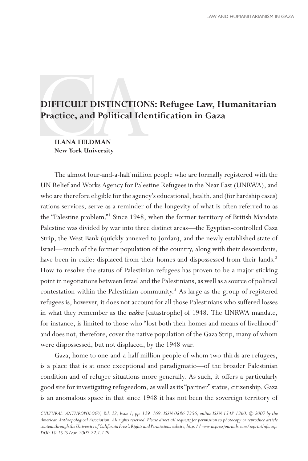# DIFFICULT D<br>Practice, and<br>LLANA FELDN<br>New York Univ **DIFFICULT DISTINCTIONS: Refugee Law, Humanitarian Practice, and Political Identification in Gaza** DISTINCTION<br>d Political Ider<br>DMAN<br>iversity

**ILANA FELDMAN New York University**

The almost four-and-a-half million people who are formally registered with the UN Relief and Works Agency for Palestine Refugees in the Near East (UNRWA), and who are therefore eligible for the agency's educational, health, and (for hardship cases) rations services, serve as a reminder of the longevity of what is often referred to as the "Palestine problem."1 Since 1948, when the former territory of British Mandate Palestine was divided by war into three distinct areas—the Egyptian-controlled Gaza Strip, the West Bank (quickly annexed to Jordan), and the newly established state of Israel—much of the former population of the country, along with their descendants, have been in exile: displaced from their homes and dispossessed from their lands.<sup>2</sup> How to resolve the status of Palestinian refugees has proven to be a major sticking point in negotiations between Israel and the Palestinians, as well as a source of political contestation within the Palestinian community.<sup>3</sup> As large as the group of registered refugees is, however, it does not account for all those Palestinians who suffered losses in what they remember as the *nakba* [catastrophe] of 1948. The UNRWA mandate, for instance, is limited to those who "lost both their homes and means of livelihood" and does not, therefore, cover the native population of the Gaza Strip, many of whom were dispossessed, but not displaced, by the 1948 war.

Gaza, home to one-and-a-half million people of whom two-thirds are refugees, is a place that is at once exceptional and paradigmatic—of the broader Palestinian condition and of refugee situations more generally. As such, it offers a particularly good site for investigating refugeedom, as well as its "partner" status, citizenship. Gaza is an anomalous space in that since 1948 it has not been the sovereign territory of

*CULTURAL ANTHROPOLOGY, Vol. 22, Issue 1, pp. 129–169. ISSN 0886-7356, online ISSN 1548-1360.* -<sup>C</sup> *2007 by the American Anthropological Association. All rights reserved. Please direct all requests for permission to photocopy or reproduce article content through the University of California Press's Rights and Permissions website, http://www.ucpressjournals.com/reprintInfo.asp. DOI: 10.1525/can.2007.22.1.129.*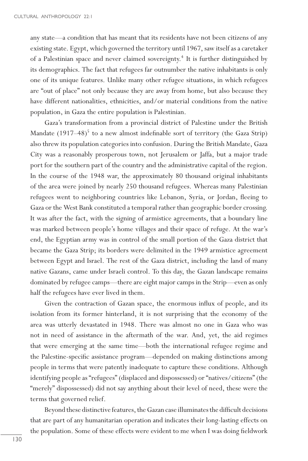any state—a condition that has meant that its residents have not been citizens of any existing state. Egypt, which governed the territory until 1967, saw itself as a caretaker of a Palestinian space and never claimed sovereignty.<sup>4</sup> It is further distinguished by its demographics. The fact that refugees far outnumber the native inhabitants is only one of its unique features. Unlike many other refugee situations, in which refugees are "out of place" not only because they are away from home, but also because they have different nationalities, ethnicities, and/or material conditions from the native population, in Gaza the entire population is Palestinian.

Gaza's transformation from a provincial district of Palestine under the British Mandate  $(1917-48)^5$  to a new almost indefinable sort of territory (the Gaza Strip) also threw its population categories into confusion. During the British Mandate, Gaza City was a reasonably prosperous town, not Jerusalem or Jaffa, but a major trade port for the southern part of the country and the administrative capital of the region. In the course of the 1948 war, the approximately 80 thousand original inhabitants of the area were joined by nearly 250 thousand refugees. Whereas many Palestinian refugees went to neighboring countries like Lebanon, Syria, or Jordan, fleeing to Gaza or the West Bank constituted a temporal rather than geographic border crossing. It was after the fact, with the signing of armistice agreements, that a boundary line was marked between people's home villages and their space of refuge. At the war's end, the Egyptian army was in control of the small portion of the Gaza district that became the Gaza Strip; its borders were delimited in the 1949 armistice agreement between Egypt and Israel. The rest of the Gaza district, including the land of many native Gazans, came under Israeli control. To this day, the Gazan landscape remains dominated by refugee camps—there are eight major camps in the Strip—even as only half the refugees have ever lived in them.

Given the contraction of Gazan space, the enormous influx of people, and its isolation from its former hinterland, it is not surprising that the economy of the area was utterly devastated in 1948. There was almost no one in Gaza who was not in need of assistance in the aftermath of the war. And, yet, the aid regimes that were emerging at the same time—both the international refugee regime and the Palestine-specific assistance program—depended on making distinctions among people in terms that were patently inadequate to capture these conditions. Although identifying people as "refugees" (displaced and dispossessed) or "natives/citizens" (the "merely" dispossessed) did not say anything about their level of need, these were the terms that governed relief.

Beyond these distinctive features, the Gazan case illuminates the difficult decisions that are part of any humanitarian operation and indicates their long-lasting effects on the population. Some of these effects were evident to me when I was doing fieldwork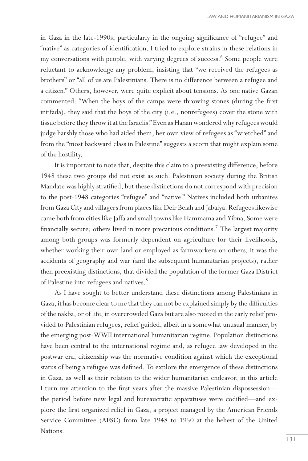in Gaza in the late-1990s, particularly in the ongoing significance of "refugee" and "native" as categories of identification. I tried to explore strains in these relations in my conversations with people, with varying degrees of success.<sup>6</sup> Some people were reluctant to acknowledge any problem, insisting that "we received the refugees as brothers" or "all of us are Palestinians. There is no difference between a refugee and a citizen." Others, however, were quite explicit about tensions. As one native Gazan commented: "When the boys of the camps were throwing stones (during the first intifada), they said that the boys of the city (i.e., nonrefugees) cover the stone with tissue before they throw it at the Israelis." Even as Hanan wondered why refugees would judge harshly those who had aided them, her own view of refugees as "wretched" and from the "most backward class in Palestine" suggests a scorn that might explain some of the hostility.

It is important to note that, despite this claim to a preexisting difference, before 1948 these two groups did not exist as such. Palestinian society during the British Mandate was highly stratified, but these distinctions do not correspond with precision to the post-1948 categories "refugee" and "native." Natives included both urbanites from Gaza City and villagers from places like Deir Belah and Jabalya. Refugees likewise came both from cities like Jaffa and small towns like Hammama and Yibna. Some were financially secure; others lived in more precarious conditions.7 The largest majority among both groups was formerly dependent on agriculture for their livelihoods, whether working their own land or employed as farmworkers on others. It was the accidents of geography and war (and the subsequent humanitarian projects), rather then preexisting distinctions, that divided the population of the former Gaza District of Palestine into refugees and natives.<sup>8</sup>

As I have sought to better understand these distinctions among Palestinians in Gaza, it has become clear to me that they can not be explained simply by the difficulties of the nakba, or of life, in overcrowded Gaza but are also rooted in the early relief provided to Palestinian refugees, relief guided, albeit in a somewhat unusual manner, by the emerging post-WWII international humanitarian regime. Population distinctions have been central to the international regime and, as refugee law developed in the postwar era, citizenship was the normative condition against which the exceptional status of being a refugee was defined. To explore the emergence of these distinctions in Gaza, as well as their relation to the wider humanitarian endeavor, in this article I turn my attention to the first years after the massive Palestinian dispossession the period before new legal and bureaucratic apparatuses were codified—and explore the first organized relief in Gaza, a project managed by the American Friends Service Committee (AFSC) from late 1948 to 1950 at the behest of the United Nations.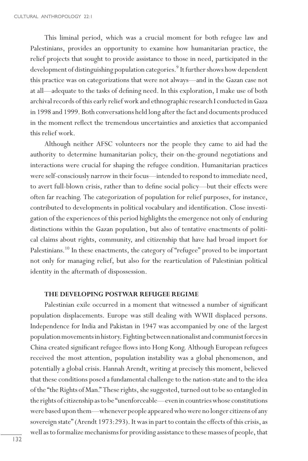This liminal period, which was a crucial moment for both refugee law and Palestinians, provides an opportunity to examine how humanitarian practice, the relief projects that sought to provide assistance to those in need, participated in the development of distinguishing population categories.<sup>9</sup> It further shows how dependent this practice was on categorizations that were not always—and in the Gazan case not at all—adequate to the tasks of defining need. In this exploration, I make use of both archival records of this early relief work and ethnographic research I conducted in Gaza in 1998 and 1999. Both conversations held long after the fact and documents produced in the moment reflect the tremendous uncertainties and anxieties that accompanied this relief work.

Although neither AFSC volunteers nor the people they came to aid had the authority to determine humanitarian policy, their on-the-ground negotiations and interactions were crucial for shaping the refugee condition. Humanitarian practices were self-consciously narrow in their focus—intended to respond to immediate need, to avert full-blown crisis, rather than to define social policy—but their effects were often far reaching. The categorization of population for relief purposes, for instance, contributed to developments in political vocabulary and identification. Close investigation of the experiences of this period highlights the emergence not only of enduring distinctions within the Gazan population, but also of tentative enactments of political claims about rights, community, and citizenship that have had broad import for Palestinians.<sup>10</sup> In these enactments, the category of "refugee" proved to be important not only for managing relief, but also for the rearticulation of Palestinian political identity in the aftermath of dispossession.

### **THE DEVELOPING POSTWAR REFUGEE REGIME**

Palestinian exile occurred in a moment that witnessed a number of significant population displacements. Europe was still dealing with WWII displaced persons. Independence for India and Pakistan in 1947 was accompanied by one of the largest population movements in history. Fighting between nationalist and communist forces in China created significant refugee flows into Hong Kong. Although European refugees received the most attention, population instability was a global phenomenon, and potentially a global crisis. Hannah Arendt, writing at precisely this moment, believed that these conditions posed a fundamental challenge to the nation-state and to the idea of the "the Rights of Man." These rights, she suggested, turned out to be so entangled in the rights of citizenship as to be "unenforceable—even in countries whose constitutions were based upon them—whenever people appeared who were no longer citizens of any sovereign state" (Arendt 1973:293). It was in part to contain the effects of this crisis, as well as to formalize mechanisms for providing assistance to these masses of people, that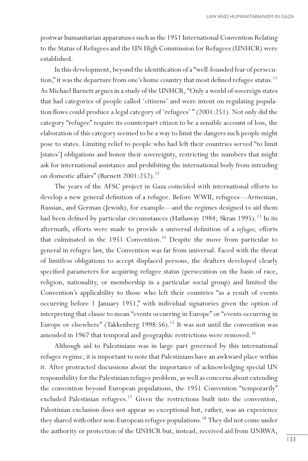postwar humanitarian apparatuses such as the 1951 International Convention Relating to the Status of Refugees and the UN High Commission for Refugees (UNHCR) were established.

In this development, beyond the identification of a "well-founded fear of persecution," it was the departure from one's home country that most defined refugee status.<sup>11</sup> As Michael Barnett argues in a study of the UNHCR, "Only a world of sovereign states that had categories of people called 'citizens' and were intent on regulating population flows could produce a legal category of 'refugees' " (2001:251). Not only did the category "refugee" require its counterpart citizen to be a sensible account of loss, the elaboration of this category seemed to be a way to limit the dangers such people might pose to states. Limiting relief to people who had left their countries served "to limit [states'] obligations and honor their sovereignty, restricting the numbers that might ask for international assistance and prohibiting the international body from intruding on domestic affairs" (Barnett 2001:252).<sup>12</sup>

The years of the AFSC project in Gaza coincided with international efforts to develop a new general definition of a refugee. Before WWII, refugees—Armenian, Russian, and German (Jewish), for example—and the regimes designed to aid them had been defined by particular circumstances (Hathaway 1984; Skran 1995).<sup>13</sup> In its aftermath, efforts were made to provide a universal definition of a *refugee,* efforts that culminated in the 1951 Convention.<sup>14</sup> Despite the move from particular to general in refugee law, the Convention was far from universal. Faced with the threat of limitless obligations to accept displaced persons, the drafters developed clearly specified parameters for acquiring refugee status (persecution on the basis of race, religion, nationality, or membership in a particular social group) and limited the Convention's applicability to those who left their countries "as a result of events occurring before 1 January 1951," with individual signatories given the option of interpreting that clause to mean "events occurring in Europe" or "events occurring in Europe or elsewhere" (Takkenberg 1998:56).<sup>15</sup> It was not until the convention was amended in 1967 that temporal and geographic restrictions were removed.<sup>16</sup>

Although aid to Palestinians was in large part governed by this international refugee regime, it is important to note that Palestinians have an awkward place within it. After protracted discussions about the importance of acknowledging special UN responsibility for the Palestinian refugee problem, as well as concerns about extending the convention beyond European populations, the 1951 Convention "temporarily" excluded Palestinian refugees.<sup>17</sup> Given the restrictions built into the convention, Palestinian exclusion does not appear so exceptional but, rather, was an experience they shared with other non-European refugee populations.<sup>18</sup> They did not come under the authority or protection of the UNHCR but, instead, received aid from UNRWA,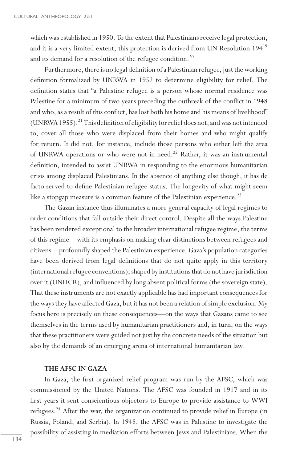which was established in 1950. To the extent that Palestinians receive legal protection, and it is a very limited extent, this protection is derived from UN Resolution 19419 and its demand for a resolution of the refugee condition.<sup>20</sup>

Furthermore, there is no legal definition of a Palestinian refugee, just the working definition formalized by UNRWA in 1952 to determine eligibility for relief. The definition states that "a Palestine refugee is a person whose normal residence was Palestine for a minimum of two years preceding the outbreak of the conflict in 1948 and who, as a result of this conflict, has lost both his home and his means of livelihood" (UNRWA 1955).<sup>21</sup> This definition of eligibility for relief does not, and was not intended to, cover all those who were displaced from their homes and who might qualify for return. It did not, for instance, include those persons who either left the area of UNRWA operations or who were not in need.<sup>22</sup> Rather, it was an instrumental definition, intended to assist UNRWA in responding to the enormous humanitarian crisis among displaced Palestinians. In the absence of anything else though, it has de facto served to define Palestinian refugee status. The longevity of what might seem like a stopgap measure is a common feature of the Palestinian experience.<sup>23</sup>

The Gazan instance thus illuminates a more general capacity of legal regimes to order conditions that fall outside their direct control. Despite all the ways Palestine has been rendered exceptional to the broader international refugee regime, the terms of this regime—with its emphasis on making clear distinctions between refugees and citizens—profoundly shaped the Palestinian experience. Gaza's population categories have been derived from legal definitions that do not quite apply in this territory (international refugee conventions), shaped by institutions that do not have jurisdiction over it (UNHCR), and influenced by long absent political forms (the sovereign state). That these instruments are not exactly applicable has had important consequences for the ways they have affected Gaza, but it has not been a relation of simple exclusion. My focus here is precisely on these consequences—on the ways that Gazans came to see themselves in the terms used by humanitarian practitioners and, in turn, on the ways that these practitioners were guided not just by the concrete needs of the situation but also by the demands of an emerging arena of international humanitarian law.

### **THE AFSC IN GAZA**

In Gaza, the first organized relief program was run by the AFSC, which was commissioned by the United Nations. The AFSC was founded in 1917 and in its first years it sent conscientious objectors to Europe to provide assistance to WWI refugees.24 After the war, the organization continued to provide relief in Europe (in Russia, Poland, and Serbia). In 1948, the AFSC was in Palestine to investigate the possibility of assisting in mediation efforts between Jews and Palestinians. When the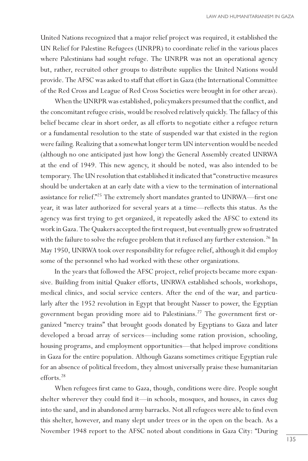United Nations recognized that a major relief project was required, it established the UN Relief for Palestine Refugees (UNRPR) to coordinate relief in the various places where Palestinians had sought refuge. The UNRPR was not an operational agency but, rather, recruited other groups to distribute supplies the United Nations would provide. The AFSC was asked to staff that effort in Gaza (the International Committee of the Red Cross and League of Red Cross Societies were brought in for other areas).

When the UNRPR was established, policymakers presumed that the conflict, and the concomitant refugee crisis, would be resolved relatively quickly. The fallacy of this belief became clear in short order, as all efforts to negotiate either a refugee return or a fundamental resolution to the state of suspended war that existed in the region were failing. Realizing that a somewhat longer term UN intervention would be needed (although no one anticipated just how long) the General Assembly created UNRWA at the end of 1949. This new agency, it should be noted, was also intended to be temporary. The UN resolution that established it indicated that "constructive measures should be undertaken at an early date with a view to the termination of international assistance for relief."25 The extremely short mandates granted to UNRWA—first one year, it was later authorized for several years at a time—reflects this status. As the agency was first trying to get organized, it repeatedly asked the AFSC to extend its work in Gaza. The Quakers accepted the first request, but eventually grew so frustrated with the failure to solve the refugee problem that it refused any further extension.  $^{26}$  In May 1950, UNRWA took over responsibility for refugee relief, although it did employ some of the personnel who had worked with these other organizations.

In the years that followed the AFSC project, relief projects became more expansive. Building from initial Quaker efforts, UNRWA established schools, workshops, medical clinics, and social service centers. After the end of the war, and particularly after the 1952 revolution in Egypt that brought Nasser to power, the Egyptian government began providing more aid to Palestinians.<sup>27</sup> The government first organized "mercy trains" that brought goods donated by Egyptians to Gaza and later developed a broad array of services—including some ration provision, schooling, housing programs, and employment opportunities—that helped improve conditions in Gaza for the entire population. Although Gazans sometimes critique Egyptian rule for an absence of political freedom, they almost universally praise these humanitarian efforts<sup>28</sup>

When refugees first came to Gaza, though, conditions were dire. People sought shelter wherever they could find it—in schools, mosques, and houses, in caves dug into the sand, and in abandoned army barracks. Not all refugees were able to find even this shelter, however, and many slept under trees or in the open on the beach. As a November 1948 report to the AFSC noted about conditions in Gaza City: "During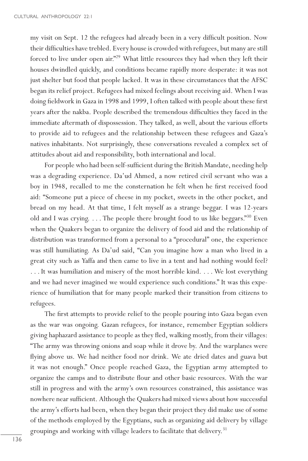my visit on Sept. 12 the refugees had already been in a very difficult position. Now their difficulties have trebled. Every house is crowded with refugees, but many are still forced to live under open air."29 What little resources they had when they left their houses dwindled quickly, and conditions became rapidly more desperate: it was not just shelter but food that people lacked. It was in these circumstances that the AFSC began its relief project. Refugees had mixed feelings about receiving aid. When I was doing fieldwork in Gaza in 1998 and 1999, I often talked with people about these first years after the nakba. People described the tremendous difficulties they faced in the immediate aftermath of dispossession. They talked, as well, about the various efforts to provide aid to refugees and the relationship between these refugees and Gaza's natives inhabitants. Not surprisingly, these conversations revealed a complex set of attitudes about aid and responsibility, both international and local.

For people who had been self-sufficient during the British Mandate, needing help was a degrading experience. Da'ud Ahmed, a now retired civil servant who was a boy in 1948, recalled to me the consternation he felt when he first received food aid: "Someone put a piece of cheese in my pocket, sweets in the other pocket, and bread on my head. At that time, I felt myself as a strange beggar. I was 12-years old and I was crying. . . . The people there brought food to us like beggars."30 Even when the Quakers began to organize the delivery of food aid and the relationship of distribution was transformed from a personal to a "procedural" one, the experience was still humiliating. As Da'ud said, "Can you imagine how a man who lived in a great city such as Yaffa and then came to live in a tent and had nothing would feel? . . . It was humiliation and misery of the most horrible kind. . . . We lost everything and we had never imagined we would experience such conditions." It was this experience of humiliation that for many people marked their transition from citizens to refugees.

The first attempts to provide relief to the people pouring into Gaza began even as the war was ongoing. Gazan refugees, for instance, remember Egyptian soldiers giving haphazard assistance to people as they fled, walking mostly, from their villages: "The army was throwing onions and soap while it drove by. And the warplanes were flying above us. We had neither food nor drink. We ate dried dates and guava but it was not enough." Once people reached Gaza, the Egyptian army attempted to organize the camps and to distribute flour and other basic resources. With the war still in progress and with the army's own resources constrained, this assistance was nowhere near sufficient. Although the Quakers had mixed views about how successful the army's efforts had been, when they began their project they did make use of some of the methods employed by the Egyptians, such as organizing aid delivery by village groupings and working with village leaders to facilitate that delivery.<sup>31</sup>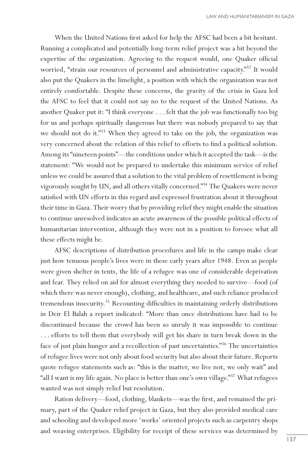When the United Nations first asked for help the AFSC had been a bit hesitant. Running a complicated and potentially long-term relief project was a bit beyond the expertise of the organization. Agreeing to the request would, one Quaker official worried, "strain our resources of personnel and administrative capacity."<sup>32</sup> It would also put the Quakers in the limelight, a position with which the organization was not entirely comfortable. Despite these concerns, the gravity of the crisis in Gaza led the AFSC to feel that it could not say no to the request of the United Nations. As another Quaker put it: "I think everyone . . . felt that the job was functionally too big for us and perhaps spiritually dangerous but there was nobody prepared to say that we should not do it."<sup>33</sup> When they agreed to take on the job, the organization was very concerned about the relation of this relief to efforts to find a political solution. Among its "nineteen points"—the conditions under which it accepted the task—is the statement: "We would not be prepared to undertake this minimum service of relief unless we could be assured that a solution to the vital problem of resettlement is being vigorously sought by UN, and all others vitally concerned."34 The Quakers were never satisfied with UN efforts in this regard and expressed frustration about it throughout their time in Gaza. Their worry that by providing relief they might enable the situation to continue unresolved indicates an acute awareness of the possible political effects of humanitarian intervention, although they were not in a position to foresee what all these effects might be.

AFSC descriptions of distribution procedures and life in the camps make clear just how tenuous people's lives were in these early years after 1948. Even as people were given shelter in tents, the life of a refugee was one of considerable deprivation and fear. They relied on aid for almost everything they needed to survive—food (of which there was never enough), clothing, and healthcare, and such reliance produced tremendous insecurity.<sup>35</sup> Recounting difficulties in maintaining orderly distributions in Deir El Balah a report indicated: "More than once distributions have had to be discontinued because the crowd has been so unruly it was impossible to continue . . . efforts to tell them that everybody will get his share in turn break down in the face of just plain hunger and a recollection of past uncertainties."36 The uncertainties of refugee lives were not only about food security but also about their future. Reports quote refugee statements such as: "this is the matter, we live not, we only wait" and "all I want is my life again. No place is better than one's own village."<sup>37</sup> What refugees wanted was not simply relief but resolution.

Ration delivery—food, clothing, blankets—was the first, and remained the primary, part of the Quaker relief project in Gaza, but they also provided medical care and schooling and developed more 'works' oriented projects such as carpentry shops and weaving enterprises. Eligibility for receipt of these services was determined by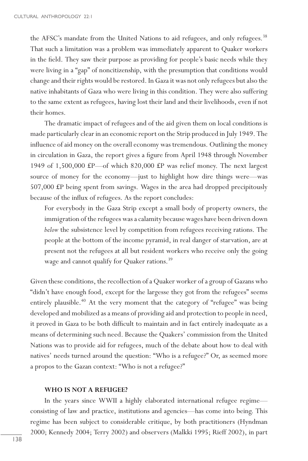the AFSC's mandate from the United Nations to aid refugees, and only refugees.<sup>38</sup> That such a limitation was a problem was immediately apparent to Quaker workers in the field. They saw their purpose as providing for people's basic needs while they were living in a "gap" of noncitizenship, with the presumption that conditions would change and their rights would be restored. In Gaza it was not only refugees but also the native inhabitants of Gaza who were living in this condition. They were also suffering to the same extent as refugees, having lost their land and their livelihoods, even if not their homes.

The dramatic impact of refugees and of the aid given them on local conditions is made particularly clear in an economic report on the Strip produced in July 1949. The influence of aid money on the overall economy was tremendous. Outlining the money in circulation in Gaza, the report gives a figure from April 1948 through November 1949 of 1,500,000 £P—of which 820,000 £P was relief money. The next largest source of money for the economy—just to highlight how dire things were—was 507,000 £P being spent from savings. Wages in the area had dropped precipitously because of the influx of refugees. As the report concludes:

For everybody in the Gaza Strip except a small body of property owners, the immigration of the refugees was a calamity because wages have been driven down *below* the subsistence level by competition from refugees receiving rations. The people at the bottom of the income pyramid, in real danger of starvation, are at present not the refugees at all but resident workers who receive only the going wage and cannot qualify for Quaker rations.<sup>39</sup>

Given these conditions, the recollection of a Quaker worker of a group of Gazans who "didn't have enough food, except for the largesse they got from the refugees" seems entirely plausible.<sup>40</sup> At the very moment that the category of "refugee" was being developed and mobilized as a means of providing aid and protection to people in need, it proved in Gaza to be both difficult to maintain and in fact entirely inadequate as a means of determining such need. Because the Quakers' commission from the United Nations was to provide aid for refugees, much of the debate about how to deal with natives' needs turned around the question: "Who is a refugee?" Or, as seemed more a propos to the Gazan context: "Who is not a refugee?"

### **WHO IS NOT A REFUGEE?**

In the years since WWII a highly elaborated international refugee regime consisting of law and practice, institutions and agencies—has come into being. This regime has been subject to considerable critique, by both practitioners (Hyndman 2000; Kennedy 2004; Terry 2002) and observers (Malkki 1995; Rieff 2002), in part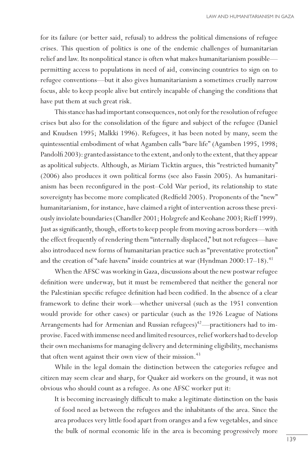for its failure (or better said, refusal) to address the political dimensions of refugee crises. This question of politics is one of the endemic challenges of humanitarian relief and law. Its nonpolitical stance is often what makes humanitarianism possible permitting access to populations in need of aid, convincing countries to sign on to refugee conventions—but it also gives humanitarianism a sometimes cruelly narrow focus, able to keep people alive but entirely incapable of changing the conditions that have put them at such great risk.

This stance has had important consequences, not only for the resolution of refugee crises but also for the consolidation of the figure and subject of the refugee (Daniel and Knudsen 1995; Malkki 1996). Refugees, it has been noted by many, seem the quintessential embodiment of what Agamben calls "bare life" (Agamben 1995, 1998; Pandolfi 2003): granted assistance to the extent, and only to the extent, that they appear as apolitical subjects. Although, as Miriam Ticktin argues, this "restricted humanity" (2006) also produces it own political forms (see also Fassin 2005). As humanitarianism has been reconfigured in the post–Cold War period, its relationship to state sovereignty has become more complicated (Redfield 2005). Proponents of the "new" humanitarianism, for instance, have claimed a right of intervention across these previously inviolate boundaries (Chandler 2001; Holzgrefe and Keohane 2003; Rieff 1999). Just as significantly, though, efforts to keep people from moving across borders—with the effect frequently of rendering them "internally displaced," but not refugees—have also introduced new forms of humanitarian practice such as "preventative protection" and the creation of "safe havens" inside countries at war (Hyndman 2000:17-18).<sup>41</sup>

When the AFSC was working in Gaza, discussions about the new postwar refugee definition were underway, but it must be remembered that neither the general nor the Palestinian specific refugee definition had been codified. In the absence of a clear framework to define their work—whether universal (such as the 1951 convention would provide for other cases) or particular (such as the 1926 League of Nations Arrangements had for Armenian and Russian refugees)<sup>42</sup>—practitioners had to improvise. Faced with immense need and limited resources, relief workers had to develop their own mechanisms for managing delivery and determining eligibility, mechanisms that often went against their own view of their mission.<sup>43</sup>

While in the legal domain the distinction between the categories refugee and citizen may seem clear and sharp, for Quaker aid workers on the ground, it was not obvious who should count as a refugee. As one AFSC worker put it:

It is becoming increasingly difficult to make a legitimate distinction on the basis of food need as between the refugees and the inhabitants of the area. Since the area produces very little food apart from oranges and a few vegetables, and since the bulk of normal economic life in the area is becoming progressively more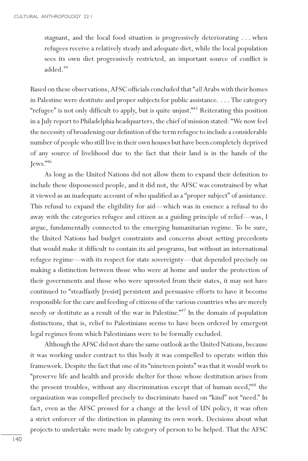stagnant, and the local food situation is progressively deteriorating . . . when refugees receive a relatively steady and adequate diet, while the local population sees its own diet progressively restricted, an important source of conflict is added<sup>44</sup>

Based on these observations, AFSC officials concluded that "*all* Arabs with their homes in Palestine were destitute and proper subjects for public assistance. . . . The category "refugee" is not only difficult to apply, but is quite unjust."45 Reiterating this position in a July report to Philadelphia headquarters, the chief of mission stated: "We now feel the necessity of broadening our definition of the term refugee to include a considerable number of people who still live in their own houses but have been completely deprived of any source of livelihood due to the fact that their land is in the hands of the Jews."46

As long as the United Nations did not allow them to expand their definition to include these dispossessed people, and it did not, the AFSC was constrained by what it viewed as an inadequate account of who qualified as a "proper subject" of assistance. This refusal to expand the eligibility for aid—which was in essence a refusal to do away with the categories refugee and citizen as a guiding principle of relief—was, I argue, fundamentally connected to the emerging humanitarian regime. To be sure, the United Nations had budget constraints and concerns about setting precedents that would make it difficult to contain its aid programs, but without an international refugee regime—with its respect for state sovereignty—that depended precisely on making a distinction between those who were at home and under the protection of their governments and those who were uprooted from their states, it may not have continued to "steadfastly [resist] persistent and persuasive efforts to have it become responsible for the care and feeding of citizens of the various countries who are merely needy or destitute as a result of the war in Palestine."<sup>47</sup> In the domain of population distinctions, that is, relief to Palestinians seems to have been ordered by emergent legal regimes from which Palestinians were to be formally excluded.

Although the AFSC did not share the same outlook as the United Nations, because it was working under contract to this body it was compelled to operate within this framework. Despite the fact that one of its "nineteen points" was that it would work to "preserve life and health and provide shelter for those whose destitution arises from the present troubles, without any discrimination except that of human need,<sup>\*48</sup> the organization was compelled precisely to discriminate based on "kind" not "need." In fact, even as the AFSC pressed for a change at the level of UN policy, it was often a strict enforcer of the distinction in planning its own work. Decisions about what projects to undertake were made by category of person to be helped. That the AFSC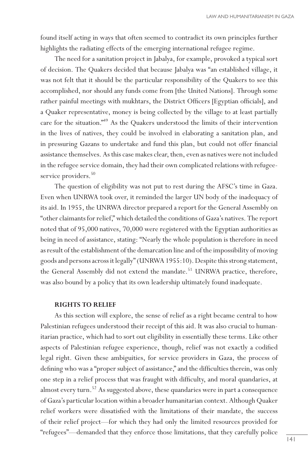found itself acting in ways that often seemed to contradict its own principles further highlights the radiating effects of the emerging international refugee regime.

The need for a sanitation project in Jabalya, for example, provoked a typical sort of decision. The Quakers decided that because Jabalya was "an established village, it was not felt that it should be the particular responsibility of the Quakers to see this accomplished, nor should any funds come from [the United Nations]. Through some rather painful meetings with mukhtars, the District Officers [Egyptian officials], and a Quaker representative, money is being collected by the village to at least partially care for the situation."49 As the Quakers understood the limits of their intervention in the lives of natives, they could be involved in elaborating a sanitation plan, and in pressuring Gazans to undertake and fund this plan, but could not offer financial assistance themselves. As this case makes clear, then, even as natives were not included in the refugee service domain, they had their own complicated relations with refugeeservice providers.<sup>50</sup>

The question of eligibility was not put to rest during the AFSC's time in Gaza. Even when UNRWA took over, it reminded the larger UN body of the inadequacy of its aid. In 1955, the UNRWA director prepared a report for the General Assembly on "other claimants for relief," which detailed the conditions of Gaza's natives. The report noted that of 95,000 natives, 70,000 were registered with the Egyptian authorities as being in need of assistance, stating: "Nearly the whole population is therefore in need as result of the establishment of the demarcation line and of the impossibility of moving goods and persons across it legally" (UNRWA 1955:10). Despite this strong statement, the General Assembly did not extend the mandate.<sup>51</sup> UNRWA practice, therefore, was also bound by a policy that its own leadership ultimately found inadequate.

### **RIGHTS TO RELIEF**

As this section will explore, the sense of relief as a right became central to how Palestinian refugees understood their receipt of this aid. It was also crucial to humanitarian practice, which had to sort out eligibility in essentially these terms. Like other aspects of Palestinian refugee experience, though, relief was not exactly a codified legal right. Given these ambiguities, for service providers in Gaza, the process of defining who was a "proper subject of assistance," and the difficulties therein, was only one step in a relief process that was fraught with difficulty, and moral quandaries, at almost every turn.52 As suggested above, these quandaries were in part a consequence of Gaza's particular location within a broader humanitarian context. Although Quaker relief workers were dissatisfied with the limitations of their mandate, the success of their relief project—for which they had only the limited resources provided for "refugees"—demanded that they enforce those limitations, that they carefully police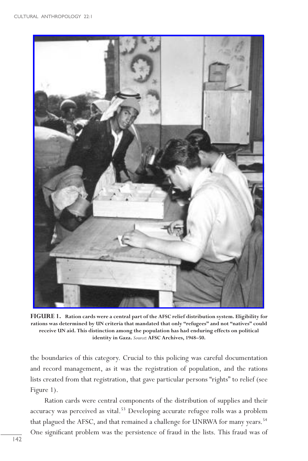

**FIGURE 1. Ration cards were a central part of the AFSC relief distribution system. Eligibility for rations was determined by UN criteria that mandated that only "refugees" and not "natives" could receive UN aid. This distinction among the population has had enduring effects on political identity in Gaza.** *Source***: AFSC Archives, 1948–50.**

the boundaries of this category. Crucial to this policing was careful documentation and record management, as it was the registration of population, and the rations lists created from that registration, that gave particular persons "rights" to relief (see Figure 1).

Ration cards were central components of the distribution of supplies and their accuracy was perceived as vital.<sup>53</sup> Developing accurate refugee rolls was a problem that plagued the AFSC, and that remained a challenge for UNRWA for many years.<sup>54</sup> One significant problem was the persistence of fraud in the lists. This fraud was of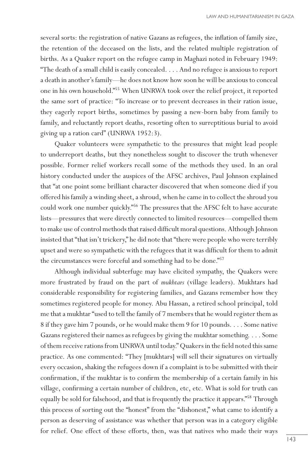several sorts: the registration of native Gazans as refugees, the inflation of family size, the retention of the deceased on the lists, and the related multiple registration of births. As a Quaker report on the refugee camp in Maghazi noted in February 1949: "The death of a small child is easily concealed. . . . And no refugee is anxious to report a death in another's family—he does not know how soon he will be anxious to conceal one in his own household."55 When UNRWA took over the relief project, it reported the same sort of practice: "To increase or to prevent decreases in their ration issue, they eagerly report births, sometimes by passing a new-born baby from family to family, and reluctantly report deaths, resorting often to surreptitious burial to avoid giving up a ration card" (UNRWA 1952:3).

Quaker volunteers were sympathetic to the pressures that might lead people to underreport deaths, but they nonetheless sought to discover the truth whenever possible. Former relief workers recall some of the methods they used. In an oral history conducted under the auspices of the AFSC archives, Paul Johnson explained that "at one point some brilliant character discovered that when someone died if you offered his family a winding sheet, a shroud, when he came in to collect the shroud you could work one number quickly."56 The pressures that the AFSC felt to have accurate lists—pressures that were directly connected to limited resources—compelled them to make use of control methods that raised difficult moral questions. Although Johnson insisted that "that isn't trickery," he did note that "there were people who were terribly upset and were so sympathetic with the refugees that it was difficult for them to admit the circumstances were forceful and something had to be done."<sup>57</sup>

Although individual subterfuge may have elicited sympathy, the Quakers were more frustrated by fraud on the part of *mukhtars* (village leaders). Mukhtars had considerable responsibility for registering families, and Gazans remember how they sometimes registered people for money. Abu Hassan, a retired school principal, told me that a mukhtar "used to tell the family of 7 members that he would register them as 8 if they gave him 7 pounds, or he would make them 9 for 10 pounds. . . . Some native Gazans registered their names as refugees by giving the mukhtar something. . . . Some of them receive rations from UNRWA until today." Quakers in the field noted this same practice. As one commented: "They [mukhtars] will sell their signatures on virtually every occasion, shaking the refugees down if a complaint is to be submitted with their confirmation, if the mukhtar is to confirm the membership of a certain family in his village, confirming a certain number of children, etc, etc. What is sold for truth can equally be sold for falsehood, and that is frequently the practice it appears."58 Through this process of sorting out the "honest" from the "dishonest," what came to identify a person as deserving of assistance was whether that person was in a category eligible for relief. One effect of these efforts, then, was that natives who made their ways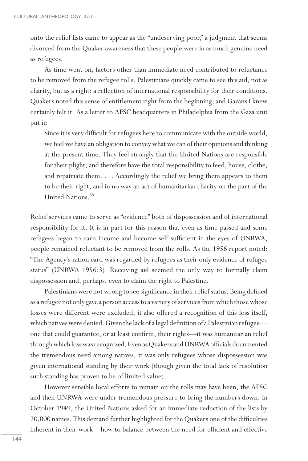onto the relief lists came to appear as the "undeserving poor," a judgment that seems divorced from the Quaker awareness that these people were in as much genuine need as refugees.

As time went on, factors other than immediate need contributed to reluctance to be removed from the refugee rolls. Palestinians quickly came to see this aid, not as charity, but as a right: a reflection of international responsibility for their conditions. Quakers noted this sense of entitlement right from the beginning, and Gazans I knew certainly felt it. As a letter to AFSC headquarters in Philadelphia from the Gaza unit put it:

Since it is very difficult for refugees here to communicate with the outside world, we feel we have an obligation to convey what we can of their opinions and thinking at the present time. They feel strongly that the United Nations are responsible for their plight, and therefore have the total responsibility to feed, house, clothe, and repatriate them. . . . Accordingly the relief we bring them appears to them to be their right, and in no way an act of humanitarian charity on the part of the United Nations.59

Relief services came to serve as "evidence" both of dispossession and of international responsibility for it. It is in part for this reason that even as time passed and some refugees began to earn income and become self-sufficient in the eyes of UNRWA, people remained reluctant to be removed from the rolls. As the 1956 report noted: "The Agency's ration card was regarded by refugees as their only evidence of refugee status" (UNRWA 1956:3). Receiving aid seemed the only way to formally claim dispossession and, perhaps, even to claim the right to Palestine.

Palestinians were not wrong to see significance in their relief status. Being defined as a refugee not only gave a person access to a variety of services from which those whose losses were different were excluded, it also offered a recognition of this loss itself, which natives were denied. Given the lack of a legal definition of a Palestinian refugee one that could guarantee, or at least confirm, their rights—it was humanitarian relief through which loss was recognized. Even as Quakers and UNRWA officials documented the tremendous need among natives, it was only refugees whose dispossession was given international standing by their work (though given the total lack of resolution such standing has proven to be of limited value).

However sensible local efforts to remain on the rolls may have been, the AFSC and then UNRWA were under tremendous pressure to bring the numbers down. In October 1949, the United Nations asked for an immediate reduction of the lists by 20,000 names. This demand further highlighted for the Quakers one of the difficulties inherent in their work—how to balance between the need for efficient and effective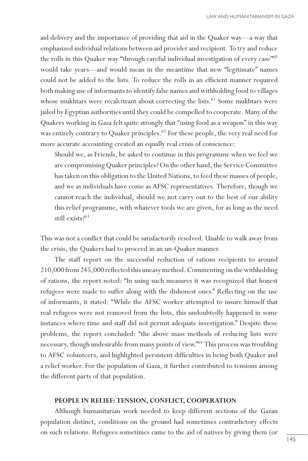aid delivery and the importance of providing that aid in the Quaker way—a way that emphasized individual relations between aid provider and recipient. To try and reduce the rolls in this Quaker way "through careful individual investigation of every case"<sup>60</sup> would take years—and would mean in the meantime that new "legitimate" names could not be added to the lists. To reduce the rolls in an efficient manner required both making use of informants to identify false names and withholding food to villages whose mukhtars were recalcitrant about correcting the lists.<sup>61</sup> Some mukhtars were jailed by Egyptian authorities until they could be compelled to cooperate. Many of the Quakers working in Gaza felt quite strongly that "using food as a weapon" in this way was entirely contrary to Quaker principles.<sup>62</sup> For these people, the very real need for more accurate accounting created an equally real crisis of conscience:

Should we, as Friends, be asked to continue in this programme when we feel we are compromising Quaker principles? On the other hand, the Service Committee has taken on this obligation to the United Nations, to feed these masses of people, and we as individuals have come as AFSC representatives. Therefore, though we cannot reach the individual, should we not carry out to the best of our ability this relief programme, with whatever tools we are given, for as long as the need still exists?<sup>63</sup>

This was not a conflict that could be satisfactorily resolved. Unable to walk away from the crisis, the Quakers had to proceed in an un-Quaker manner.

The staff report on the successful reduction of rations recipients to around 210,000 from 245,000 reflected this uneasy method. Commenting on the withholding of rations, the report noted: "In using such measures it was recognized that honest refugees were made to suffer along with the dishonest ones." Reflecting on the use of informants, it stated: "While the AFSC worker attempted to insure himself that real refugees were not removed from the lists, this undoubtedly happened in some instances where time and staff did not permit adequate investigation." Despite these problems, the report concluded: "the above mass methods of reducing lists were necessary, though undesirable from many points of view."64 This process was troubling to AFSC volunteers, and highlighted persistent difficulties in being both Quaker and a relief worker. For the population of Gaza, it further contributed to tensions among the different parts of that population.

### **PEOPLE IN RELIEF: TENSION, CONFLICT, COOPERATION**

Although humanitarian work needed to keep different sections of the Gazan population distinct, conditions on the ground had sometimes contradictory effects on such relations. Refugees sometimes came to the aid of natives by giving them (or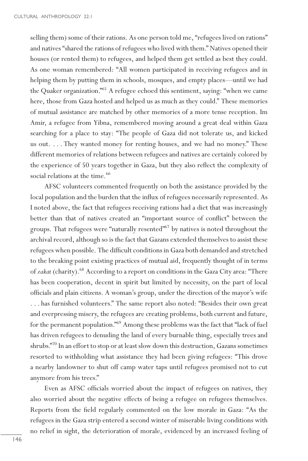selling them) some of their rations. As one person told me, "refugees lived on rations" and natives "shared the rations of refugees who lived with them." Natives opened their houses (or rented them) to refugees, and helped them get settled as best they could. As one woman remembered: "All women participated in receiving refugees and in helping them by putting them in schools, mosques, and empty places—until we had the Quaker organization."65 A refugee echoed this sentiment, saying: "when we came here, those from Gaza hosted and helped us as much as they could." These memories of mutual assistance are matched by other memories of a more tense reception. Im Amir, a refugee from Yibna, remembered moving around a great deal within Gaza searching for a place to stay: "The people of Gaza did not tolerate us, and kicked us out. . . . They wanted money for renting houses, and we had no money." These different memories of relations between refugees and natives are certainly colored by the experience of 50 years together in Gaza, but they also reflect the complexity of social relations at the time.<sup>66</sup>

AFSC volunteers commented frequently on both the assistance provided by the local population and the burden that the influx of refugees necessarily represented. As I noted above, the fact that refugees receiving rations had a diet that was increasingly better than that of natives created an "important source of conflict" between the groups. That refugees were "naturally resented"<sup>67</sup> by natives is noted throughout the archival record, although so is the fact that Gazans extended themselves to assist these refugees when possible. The difficult conditions in Gaza both demanded and stretched to the breaking point existing practices of mutual aid, frequently thought of in terms of *zakat* (charity).68 According to a report on conditions in the Gaza City area: "There has been cooperation, decent in spirit but limited by necessity, on the part of local officials and plain citizens. A woman's group, under the direction of the mayor's wife . . . has furnished volunteers." The same report also noted: "Besides their own great and everpressing misery, the refugees are creating problems, both current and future, for the permanent population."69 Among these problems was the fact that "lack of fuel has driven refugees to denuding the land of every burnable thing, especially trees and shrubs."70 In an effort to stop or at least slow down this destruction, Gazans sometimes resorted to withholding what assistance they had been giving refugees: "This drove a nearby landowner to shut off camp water taps until refugees promised not to cut anymore from his trees."

Even as AFSC officials worried about the impact of refugees on natives, they also worried about the negative effects of being a refugee on refugees themselves. Reports from the field regularly commented on the low morale in Gaza: "As the refugees in the Gaza strip entered a second winter of miserable living conditions with no relief in sight, the deterioration of morale, evidenced by an increased feeling of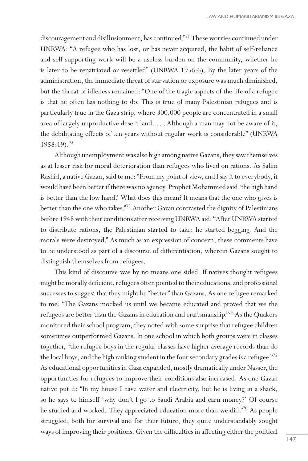discouragement and disillusionment, has continued."<sup>71</sup> These worries continued under UNRWA: "A refugee who has lost, or has never acquired, the habit of self-reliance and self-supporting work will be a useless burden on the community, whether he is later to be repatriated or resettled" (UNRWA 1956:6). By the later years of the administration, the immediate threat of starvation or exposure was much diminished, but the threat of idleness remained: "One of the tragic aspects of the life of a refugee is that he often has nothing to do. This is true of many Palestinian refugees and is particularly true in the Gaza strip, where 300,000 people are concentrated in a small area of largely unproductive desert land. . . . Although a man may not be aware of it, the debilitating effects of ten years without regular work is considerable" (UNRWA 1958:19).72

Although unemployment was also high among native Gazans, they saw themselves as at lesser risk for moral deterioration than refugees who lived on rations. As Salim Rashid, a native Gazan, said to me: "From my point of view, and I say it to everybody, it would have been better if there was no agency. Prophet Mohammed said 'the high hand is better than the low hand.' What does this mean? It means that the one who gives is better than the one who takes."73 Another Gazan contrasted the dignity of Palestinians before 1948 with their conditions after receiving UNRWA aid: "After UNRWA started to distribute rations, the Palestinian started to take; he started begging. And the morals were destroyed." As much as an expression of concern, these comments have to be understood as part of a discourse of differentiation, wherein Gazans sought to distinguish themselves from refugees.

This kind of discourse was by no means one sided. If natives thought refugees might be morally deficient, refugees often pointed to their educational and professional successes to suggest that they might be "better" than Gazans. As one refugee remarked to me: "The Gazans mocked us until we became educated and proved that we the refugees are better than the Gazans in education and craftsmanship."74 As the Quakers monitored their school program, they noted with some surprise that refugee children sometimes outperformed Gazans. In one school in which both groups were in classes together, "the refugee boys in the regular classes have higher average records than do the local boys, and the high ranking student in the four secondary grades is a refugee."<sup>75</sup> As educational opportunities in Gaza expanded, mostly dramatically under Nasser, the opportunities for refugees to improve their conditions also increased. As one Gazan native put it: "In my house I have water and electricity, but he is living in a shack, so he says to himself 'why don't I go to Saudi Arabia and earn money?' Of course he studied and worked. They appreciated education more than we did."76 As people struggled, both for survival and for their future, they quite understandably sought ways of improving their positions. Given the difficulties in affecting either the political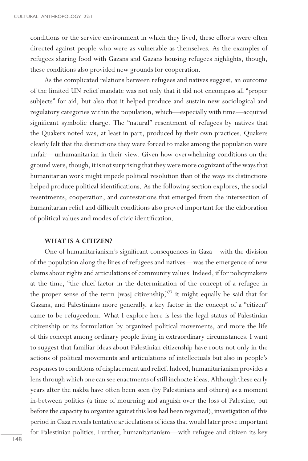conditions or the service environment in which they lived, these efforts were often directed against people who were as vulnerable as themselves. As the examples of refugees sharing food with Gazans and Gazans housing refugees highlights, though, these conditions also provided new grounds for cooperation.

As the complicated relations between refugees and natives suggest, an outcome of the limited UN relief mandate was not only that it did not encompass all "proper subjects" for aid, but also that it helped produce and sustain new sociological and regulatory categories within the population, which—especially with time—acquired significant symbolic charge. The "natural" resentment of refugees by natives that the Quakers noted was, at least in part, produced by their own practices. Quakers clearly felt that the distinctions they were forced to make among the population were unfair—unhumanitarian in their view. Given how overwhelming conditions on the ground were, though, it is not surprising that they were more cognizant of the ways that humanitarian work might impede political resolution than of the ways its distinctions helped produce political identifications. As the following section explores, the social resentments, cooperation, and contestations that emerged from the intersection of humanitarian relief and difficult conditions also proved important for the elaboration of political values and modes of civic identification.

### **WHAT IS A CITIZEN?**

One of humanitarianism's significant consequences in Gaza—with the division of the population along the lines of refugees and natives—was the emergence of new claims about rights and articulations of community values. Indeed, if for policymakers at the time, "the chief factor in the determination of the concept of a refugee in the proper sense of the term [was] citizenship,"77 it might equally be said that for Gazans, and Palestinians more generally, a key factor in the concept of a "citizen" came to be refugeedom. What I explore here is less the legal status of Palestinian citizenship or its formulation by organized political movements, and more the life of this concept among ordinary people living in extraordinary circumstances. I want to suggest that familiar ideas about Palestinian citizenship have roots not only in the actions of political movements and articulations of intellectuals but also in people's responses to conditions of displacement and relief. Indeed, humanitarianism provides a lens through which one can see enactments of still inchoate ideas. Although these early years after the nakba have often been seen (by Palestinians and others) as a moment in-between politics (a time of mourning and anguish over the loss of Palestine, but before the capacity to organize against this loss had been regained), investigation of this period in Gaza reveals tentative articulations of ideas that would later prove important for Palestinian politics. Further, humanitarianism—with refugee and citizen its key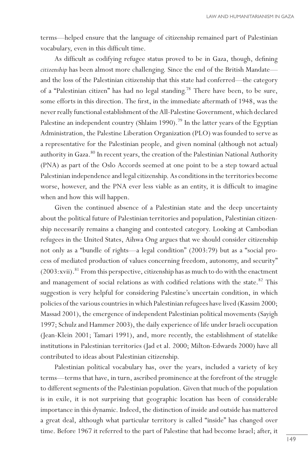terms—helped ensure that the language of citizenship remained part of Palestinian vocabulary, even in this difficult time.

As difficult as codifying refugee status proved to be in Gaza, though, defining *citizenship* has been almost more challenging. Since the end of the British Mandate and the loss of the Palestinian citizenship that this state had conferred—the category of a "Palestinian citizen" has had no legal standing.78 There have been, to be sure, some efforts in this direction. The first, in the immediate aftermath of 1948, was the never really functional establishment of the All-Palestine Government, which declared Palestine an independent country (Shlaim 1990).<sup>79</sup> In the latter years of the Egyptian Administration, the Palestine Liberation Organization (PLO) was founded to serve as a representative for the Palestinian people, and given nominal (although not actual) authority in Gaza.<sup>80</sup> In recent years, the creation of the Palestinian National Authority (PNA) as part of the Oslo Accords seemed at one point to be a step toward actual Palestinian independence and legal citizenship. As conditions in the territories become worse, however, and the PNA ever less viable as an entity, it is difficult to imagine when and how this will happen.

Given the continued absence of a Palestinian state and the deep uncertainty about the political future of Palestinian territories and population, Palestinian citizenship necessarily remains a changing and contested category. Looking at Cambodian refugees in the United States, Aihwa Ong argues that we should consider citizenship not only as a "bundle of rights—a legal condition" (2003:79) but as a "social process of mediated production of values concerning freedom, autonomy, and security"  $(2003:xvii).$ <sup>81</sup> From this perspective, citizenship has as much to do with the enactment and management of social relations as with codified relations with the state. $82$  This suggestion is very helpful for considering Palestine's uncertain condition, in which policies of the various countries in which Palestinian refugees have lived (Kassim 2000; Massad 2001), the emergence of independent Palestinian political movements (Sayigh 1997; Schulz and Hammer 2003), the daily experience of life under Israeli occupation (Jean-Klein 2001; Tamari 1991), and, more recently, the establishment of statelike institutions in Palestinian territories (Jad et al. 2000; Milton-Edwards 2000) have all contributed to ideas about Palestinian citizenship.

Palestinian political vocabulary has, over the years, included a variety of key terms—terms that have, in turn, ascribed prominence at the forefront of the struggle to different segments of the Palestinian population. Given that much of the population is in exile, it is not surprising that geographic location has been of considerable importance in this dynamic. Indeed, the distinction of inside and outside has mattered a great deal, although what particular territory is called "inside" has changed over time. Before 1967 it referred to the part of Palestine that had become Israel; after, it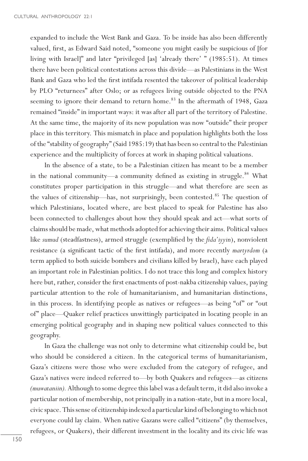expanded to include the West Bank and Gaza. To be inside has also been differently valued, first, as Edward Said noted, "someone you might easily be suspicious of [for living with Israel]" and later "privileged [as] 'already there' " (1985:51). At times there have been political contestations across this divide—as Palestinians in the West Bank and Gaza who led the first intifada resented the takeover of political leadership by PLO "returnees" after Oslo; or as refugees living outside objected to the PNA seeming to ignore their demand to return home.<sup>83</sup> In the aftermath of 1948, Gaza remained "inside" in important ways: it was after all part of the territory of Palestine. At the same time, the majority of its new population was now "outside" their proper place in this territory. This mismatch in place and population highlights both the loss of the "stability of geography" (Said 1985:19) that has been so central to the Palestinian experience and the multiplicity of forces at work in shaping political valuations.

In the absence of a state, to be a Palestinian citizen has meant to be a member in the national community—a community defined as existing in struggle.<sup>84</sup> What constitutes proper participation in this struggle—and what therefore are seen as the values of citizenship—has, not surprisingly, been contested.<sup>85</sup> The question of which Palestinians, located where, are best placed to speak for Palestine has also been connected to challenges about how they should speak and act—what sorts of claims should be made, what methods adopted for achieving their aims. Political values like *sumud* (steadfastness), armed struggle (exemplified by the *fida'iyyin*), nonviolent resistance (a significant tactic of the first intifada), and more recently *martyrdom* (a term applied to both suicide bombers and civilians killed by Israel), have each played an important role in Palestinian politics. I do not trace this long and complex history here but, rather, consider the first enactments of post-nakba citizenship values, paying particular attention to the role of humanitarianism, and humanitarian distinctions, in this process. In identifying people as natives or refugees—as being "of" or "out of" place—Quaker relief practices unwittingly participated in locating people in an emerging political geography and in shaping new political values connected to this geography.

In Gaza the challenge was not only to determine what citizenship could be, but who should be considered a citizen. In the categorical terms of humanitarianism, Gaza's citizens were those who were excluded from the category of refugee, and Gaza's natives were indeed referred to—by both Quakers and refugees—as citizens *(muwataniin).* Although to some degree this label was a default term, it did also invoke a particular notion of membership, not principally in a nation-state, but in a more local, civic space. This sense of citizenship indexed a particular kind of belonging to which not everyone could lay claim. When native Gazans were called "citizens" (by themselves, refugees, or Quakers), their different investment in the locality and its civic life was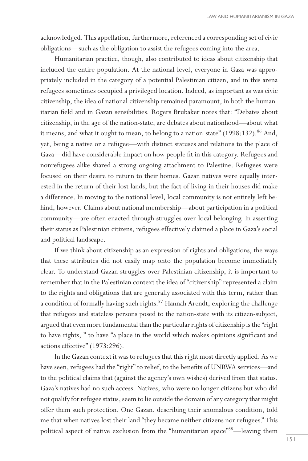acknowledged. This appellation, furthermore, referenced a corresponding set of civic obligations—such as the obligation to assist the refugees coming into the area.

Humanitarian practice, though, also contributed to ideas about citizenship that included the entire population. At the national level, everyone in Gaza was appropriately included in the category of a potential Palestinian citizen, and in this arena refugees sometimes occupied a privileged location. Indeed, as important as was civic citizenship, the idea of national citizenship remained paramount, in both the humanitarian field and in Gazan sensibilities. Rogers Brubaker notes that: "Debates about citizenship, in the age of the nation-state, are debates about nationhood—about what it means, and what it ought to mean, to belong to a nation-state" (1998:132).<sup>86</sup> And, yet, being a native or a refugee—with distinct statuses and relations to the place of Gaza—did have considerable impact on how people fit in this category. Refugees and nonrefugees alike shared a strong ongoing attachment to Palestine. Refugees were focused on their desire to return to their homes. Gazan natives were equally interested in the return of their lost lands, but the fact of living in their houses did make a difference. In moving to the national level, local community is not entirely left behind, however. Claims about national membership—about participation in a political community—are often enacted through struggles over local belonging. In asserting their status as Palestinian citizens, refugees effectively claimed a place in Gaza's social and political landscape.

If we think about citizenship as an expression of rights and obligations, the ways that these attributes did not easily map onto the population become immediately clear. To understand Gazan struggles over Palestinian citizenship, it is important to remember that in the Palestinian context the idea of "citizenship" represented a claim to the rights and obligations that are generally associated with this term, rather than a condition of formally having such rights.<sup>87</sup> Hannah Arendt, exploring the challenge that refugees and stateless persons posed to the nation-state with its citizen-subject, argued that even more fundamental than the particular rights of citizenship is the "right to have rights, " to have "a place in the world which makes opinions significant and actions effective" (1973:296).

In the Gazan context it was to refugees that this right most directly applied. As we have seen, refugees had the "right" to relief, to the benefits of UNRWA services—and to the political claims that (against the agency's own wishes) derived from that status. Gaza's natives had no such access. Natives, who were no longer citizens but who did not qualify for refugee status, seem to lie outside the domain of any category that might offer them such protection. One Gazan, describing their anomalous condition, told me that when natives lost their land "they became neither citizens nor refugees." This political aspect of native exclusion from the "humanitarian space"88—leaving them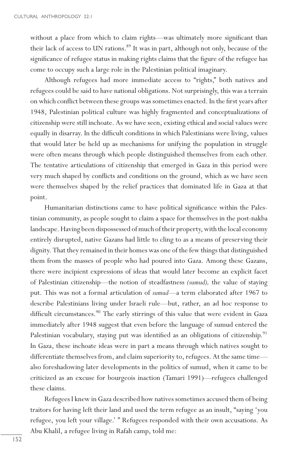without a place from which to claim rights—was ultimately more significant than their lack of access to UN rations.<sup>89</sup> It was in part, although not only, because of the significance of refugee status in making rights claims that the figure of the refugee has come to occupy such a large role in the Palestinian political imaginary.

Although refugees had more immediate access to "rights," both natives and refugees could be said to have national obligations. Not surprisingly, this was a terrain on which conflict between these groups was sometimes enacted. In the first years after 1948, Palestinian political culture was highly fragmented and conceptualizations of citizenship were still inchoate. As we have seen, existing ethical and social values were equally in disarray. In the difficult conditions in which Palestinians were living, values that would later be held up as mechanisms for unifying the population in struggle were often means through which people distinguished themselves from each other. The tentative articulations of citizenship that emerged in Gaza in this period were very much shaped by conflicts and conditions on the ground, which as we have seen were themselves shaped by the relief practices that dominated life in Gaza at that point.

Humanitarian distinctions came to have political significance within the Palestinian community, as people sought to claim a space for themselves in the post-nakba landscape. Having been dispossessed of much of their property, with the local economy entirely disrupted, native Gazans had little to cling to as a means of preserving their dignity. That they remained in their homes was one of the few things that distinguished them from the masses of people who had poured into Gaza. Among these Gazans, there were incipient expressions of ideas that would later become an explicit facet of Palestinian citizenship—the notion of steadfastness *(sumud),* the value of staying put. This was not a formal articulation of *sumud—*a term elaborated after 1967 to describe Palestinians living under Israeli rule—but, rather, an ad hoc response to difficult circumstances.<sup>90</sup> The early stirrings of this value that were evident in Gaza immediately after 1948 suggest that even before the language of sumud entered the Palestinian vocabulary, staying put was identified as an obligations of citizenship.<sup>91</sup> In Gaza, these inchoate ideas were in part a means through which natives sought to differentiate themselves from, and claim superiority to, refugees. At the same time also foreshadowing later developments in the politics of sumud, when it came to be criticized as an excuse for bourgeois inaction (Tamari 1991)—refugees challenged these claims.

Refugees I knew in Gaza described how natives sometimes accused them of being traitors for having left their land and used the term refugee as an insult, "saying 'you refugee, you left your village.' " Refugees responded with their own accusations. As Abu Khalil, a refugee living in Rafah camp, told me: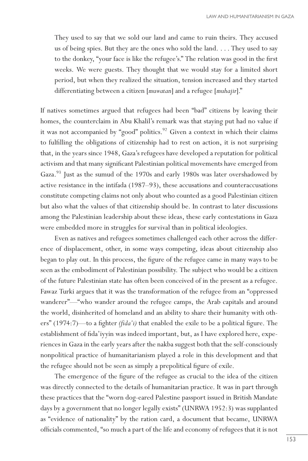They used to say that we sold our land and came to ruin theirs. They accused us of being spies. But they are the ones who sold the land. . . . They used to say to the donkey, "your face is like the refugee's." The relation was good in the first weeks. We were guests. They thought that we would stay for a limited short period, but when they realized the situation, tension increased and they started differentiating between a citizen [*muwatan*] and a refugee [*muhajir*]."

If natives sometimes argued that refugees had been "bad" citizens by leaving their homes, the counterclaim in Abu Khalil's remark was that staying put had no value if it was not accompanied by "good" politics.<sup>92</sup> Given a context in which their claims to fulfilling the obligations of citizenship had to rest on action, it is not surprising that, in the years since 1948, Gaza's refugees have developed a reputation for political activism and that many significant Palestinian political movements have emerged from Gaza.<sup>93</sup> Just as the sumud of the 1970s and early 1980s was later overshadowed by active resistance in the intifada (1987–93), these accusations and counteraccusations constitute competing claims not only about who counted as a good Palestinian citizen but also what the values of that citizenship should be. In contrast to later discussions among the Palestinian leadership about these ideas, these early contestations in Gaza were embedded more in struggles for survival than in political ideologies.

Even as natives and refugees sometimes challenged each other across the difference of displacement, other, in some ways competing, ideas about citizenship also began to play out. In this process, the figure of the refugee came in many ways to be seen as the embodiment of Palestinian possibility. The subject who would be a citizen of the future Palestinian state has often been conceived of in the present as a refugee. Fawaz Turki argues that it was the transformation of the refugee from an "oppressed wanderer"—"who wander around the refugee camps, the Arab capitals and around the world, disinherited of homeland and an ability to share their humanity with others" (1974:7)—to a fighter *(fida'i)* that enabled the exile to be a political figure. The establishment of fida'iyyin was indeed important, but, as I have explored here, experiences in Gaza in the early years after the nakba suggest both that the self-consciously nonpolitical practice of humanitarianism played a role in this development and that the refugee should not be seen as simply a prepolitical figure of exile.

The emergence of the figure of the refugee as crucial to the idea of the citizen was directly connected to the details of humanitarian practice. It was in part through these practices that the "worn dog-eared Palestine passport issued in British Mandate days by a government that no longer legally exists" (UNRWA 1952:3) was supplanted as "evidence of nationality" by the ration card, a document that became, UNRWA officials commented, "so much a part of the life and economy of refugees that it is not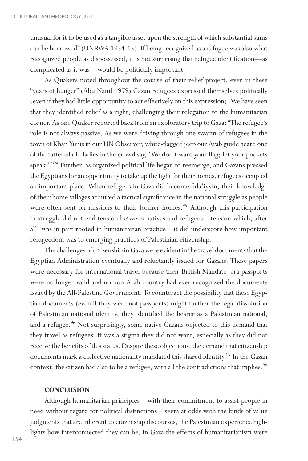unusual for it to be used as a tangible asset upon the strength of which substantial sums can be borrowed" (UNRWA 1954:15). If being recognized as a refugee was also what recognized people as dispossessed, it is not surprising that refugee identification—as complicated as it was—would be politically important.

As Quakers noted throughout the course of their relief project, even in these "years of hunger" (Abu Naml 1979) Gazan refugees expressed themselves politically (even if they had little opportunity to act effectively on this expression). We have seen that they identified relief as a right, challenging their relegation to the humanitarian corner. As one Quaker reported back from an exploratory trip to Gaza: "The refugee's role is not always passive. As we were driving through one swarm of refugees in the town of Khan Yunis in our UN Observer, white-flagged jeep our Arab guide heard one of the tattered old ladies in the crowd say, 'We don't want your flag; let your pockets speak.' "94 Further, as organized political life began to reemerge, and Gazans pressed the Egyptians for an opportunity to take up the fight for their homes, refugees occupied an important place. When refugees in Gaza did become fida'iyyin, their knowledge of their home villages acquired a tactical significance in the national struggle as people were often sent on missions to their former homes.<sup>95</sup> Although this participation in struggle did not end tension between natives and refugees—tension which, after all, was in part rooted in humanitarian practice—it did underscore how important refugeedom was to emerging practices of Palestinian citizenship.

The challenges of citizenship in Gaza were evident in the travel documents that the Egyptian Administration eventually and reluctantly issued for Gazans. These papers were necessary for international travel because their British Mandate–era passports were no longer valid and no non-Arab country had ever recognized the documents issued by the All-Palestine Government. To counteract the possibility that these Egyptian documents (even if they were not passports) might further the legal dissolution of Palestinian national identity, they identified the bearer as a Palestinian national, and a refugee.<sup>96</sup> Not surprisingly, some native Gazans objected to this demand that they travel as refugees. It was a stigma they did not want, especially as they did not receive the benefits of this status. Despite these objections, the demand that citizenship documents mark a collective nationality mandated this shared identity.<sup>97</sup> In the Gazan context, the citizen had also to be a refugee, with all the contradictions that implies.<sup>98</sup>

### **CONCLUSION**

Although humanitarian principles—with their commitment to assist people in need without regard for political distinctions—seem at odds with the kinds of value judgments that are inherent to citizenship discourses, the Palestinian experience highlights how interconnected they can be. In Gaza the effects of humanitarianism were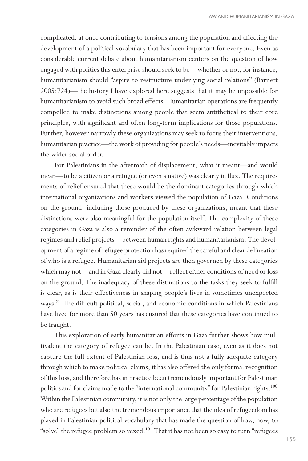complicated, at once contributing to tensions among the population and affecting the development of a political vocabulary that has been important for everyone. Even as considerable current debate about humanitarianism centers on the question of how engaged with politics this enterprise should seek to be—whether or not, for instance, humanitarianism should "aspire to restructure underlying social relations" (Barnett 2005:724)—the history I have explored here suggests that it may be impossible for humanitarianism to avoid such broad effects. Humanitarian operations are frequently compelled to make distinctions among people that seem antithetical to their core principles, with significant and often long-term implications for those populations. Further, however narrowly these organizations may seek to focus their interventions, humanitarian practice—the work of providing for people's needs—inevitably impacts the wider social order.

For Palestinians in the aftermath of displacement, what it meant—and would mean—to be a citizen or a refugee (or even a native) was clearly in flux. The requirements of relief ensured that these would be the dominant categories through which international organizations and workers viewed the population of Gaza. Conditions on the ground, including those produced by these organizations, meant that these distinctions were also meaningful for the population itself. The complexity of these categories in Gaza is also a reminder of the often awkward relation between legal regimes and relief projects—between human rights and humanitarianism. The development of a regime of refugee protection has required the careful and clear delineation of who is a refugee. Humanitarian aid projects are then governed by these categories which may not—and in Gaza clearly did not—reflect either conditions of need or loss on the ground. The inadequacy of these distinctions to the tasks they seek to fulfill is clear, as is their effectiveness in shaping people's lives in sometimes unexpected ways.99 The difficult political, social, and economic conditions in which Palestinians have lived for more than 50 years has ensured that these categories have continued to be fraught.

This exploration of early humanitarian efforts in Gaza further shows how multivalent the category of refugee can be. In the Palestinian case, even as it does not capture the full extent of Palestinian loss, and is thus not a fully adequate category through which to make political claims, it has also offered the only formal recognition of this loss, and therefore has in practice been tremendously important for Palestinian politics and for claims made to the "international community" for Palestinian rights.<sup>100</sup> Within the Palestinian community, it is not only the large percentage of the population who are refugees but also the tremendous importance that the idea of refugeedom has played in Palestinian political vocabulary that has made the question of how, now, to "solve" the refugee problem so vexed.<sup>101</sup> That it has not been so easy to turn "refugees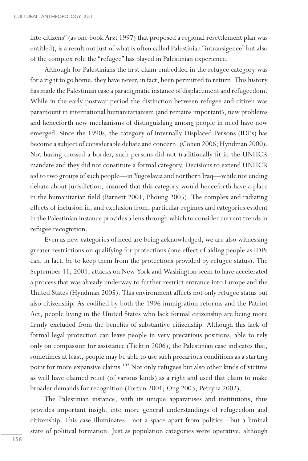into citizens" (as one book Arzt 1997) that proposed a regional resettlement plan was entitled), is a result not just of what is often called Palestinian "intransigence" but also of the complex role the "refugee" has played in Palestinian experience.

Although for Palestinians the first claim embedded in the refugee category was for a right to go home, they have never, in fact, been permitted to return. This history has made the Palestinian case a paradigmatic instance of displacement and refugeedom. While in the early postwar period the distinction between refugee and citizen was paramount in international humanitarianism (and remains important), new problems and henceforth new mechanisms of distinguishing among people in need have now emerged. Since the 1990s, the category of Internally Displaced Persons (IDPs) has become a subject of considerable debate and concern. (Cohen 2006; Hyndman 2000). Not having crossed a border, such persons did not traditionally fit in the UNHCR mandate and they did not constitute a formal category. Decisions to extend UNHCR aid to two groups of such people—in Yugoslavia and northern Iraq—while not ending debate about jurisdiction, ensured that this category would henceforth have a place in the humanitarian field (Barnett 2001; Phoung 2005). The complex and radiating effects of inclusion in, and exclusion from, particular regimes and categories evident in the Palestinian instance provides a lens through which to consider current trends in refugee recognition.

Even as new categories of need are being acknowledged, we are also witnessing greater restrictions on qualifying for protections (one effect of aiding people as IDPs can, in fact, be to keep them from the protections provided by refugee status). The September 11, 2001, attacks on New York and Washington seem to have accelerated a process that was already underway to further restrict entrance into Europe and the United States (Hyndman 2005). This environment affects not only refugee status but also citizenship. As codified by both the 1996 immigration reforms and the Patriot Act, people living in the United States who lack formal citizenship are being more firmly excluded from the benefits of substantive citizenship. Although this lack of formal legal protection can leave people in very precarious positions, able to rely only on compassion for assistance (Ticktin 2006), the Palestinian case indicates that, sometimes at least, people may be able to use such precarious conditions as a starting point for more expansive claims.<sup>102</sup> Not only refugees but also other kinds of victims as well have claimed relief (of various kinds) as a right and used that claim to make broader demands for recognition (Fortun 2001; Ong 2003; Petryna 2002).

The Palestinian instance, with its unique apparatuses and institutions, thus provides important insight into more general understandings of refugeedom and citizenship. This case illuminates—not a space apart from politics—but a liminal state of political formation. Just as population categories were operative, although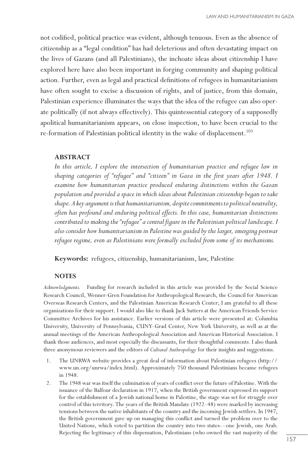not codified, political practice was evident, although tenuous. Even as the absence of citizenship as a "legal condition" has had deleterious and often devastating impact on the lives of Gazans (and all Palestinians), the inchoate ideas about citizenship I have explored here have also been important in forging community and shaping political action. Further, even as legal and practical definitions of refugees in humanitarianism have often sought to excise a discussion of rights, and of justice, from this domain, Palestinian experience illuminates the ways that the idea of the refugee can also operate politically (if not always effectively). This quintessential category of a supposedly apolitical humanitarianism appears, on close inspection, to have been crucial to the re-formation of Palestinian political identity in the wake of displacement.<sup>103</sup>

### **ABSTRACT**

*In this article, I explore the intersection of humanitarian practice and refugee law in shaping categories of "refugee" and "citizen" in Gaza in the first years after 1948. I examine how humanitarian practice produced enduring distinctions within the Gazan population and provided a space in which ideas about Palestinian citizenship began to take shape. A key argument is that humanitarianism, despite commitments to political neutrality, often has profound and enduring political effects. In this case, humanitarian distinctions contributed to making the "refugee" a central figure in the Palestinian political landscape. I also consider how humanitarianism in Palestine was guided by the larger, emerging postwar refugee regime, even as Palestinians were formally excluded from some of its mechanisms.*

**Keywords:** refugees, citizenship, humanitarianism, law, Palestine

### **NOTES**

*Acknowledgments.* Funding for research included in this article was provided by the Social Science Research Council, Wenner-Gren Foundation for Anthropological Research, the Council for American Overseas Research Centers, and the Palestinian American Research Center; I am grateful to all these organizations for their support. I would also like to thank Jack Sutters at the American Friends Service Committee Archives for his assistance. Earlier versions of this article were presented at: Columbia University, University of Pennsylvania, CUNY–Grad Center, New York University, as well as at the annual meetings of the American Anthropological Association and American Historical Association. I thank those audiences, and most especially the discussants, for their thoughtful comments. I also thank three anonymous reviewers and the editors of *Cultural Anthropology* for their insights and suggestions.

- 1. The UNRWA website provides a great deal of information about Palestinian refugees (http:// www.un.org/unrwa/index.html). Approximately 750 thousand Palestinians became refugees in 1948.
- 2. The 1948 war was itself the culmination of years of conflict over the future of Palestine. With the issuance of the Balfour declaration in 1917, when the British government expressed its support for the establishment of a Jewish national home in Palestine, the stage was set for struggle over control of this territory. The years of the British Mandate (1922–48) were marked by increasing tensions between the native inhabitants of the country and the incoming Jewish settlers. In 1947, the British government gave up on managing this conflict and turned the problem over to the United Nations, which voted to partition the country into two states—one Jewish, one Arab. Rejecting the legitimacy of this dispensation, Palestinians (who owned the vast majority of the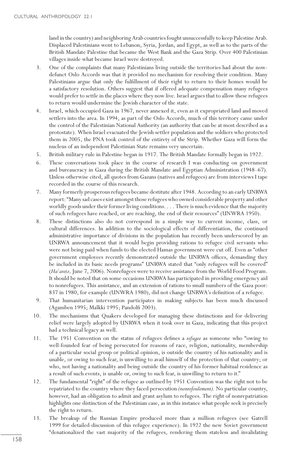land in the country) and neighboring Arab countries fought unsuccessfully to keep Palestine Arab. Displaced Palestinians went to Lebanon, Syria, Jordan, and Egypt, as well as to the parts of the British Mandate Palestine that became the West Bank and the Gaza Strip. Over 400 Palestinian villages inside what became Israel were destroyed.

- 3. One of the complaints that many Palestinians living outside the territories had about the nowdefunct Oslo Accords was that it provided no mechanism for resolving their condition. Many Palestinians argue that only the fulfillment of their right to return to their homes would be a satisfactory resolution. Others suggest that if offered adequate compensation many refugees would prefer to settle in the places where they now live. Israel argues that to allow these refugees to return would undermine the Jewish character of the state.
- 4. Israel, which occupied Gaza in 1967, never annexed it, even as it expropriated land and moved settlers into the area. In 1994, as part of the Oslo Accords, much of this territory came under the control of the Palestinian National Authority (an authority that can be at most described as a protostate). When Israel evacuated the Jewish settler population and the soldiers who protected them in 2005, the PNA took control of the entirety of the Strip. Whether Gaza will form the nucleus of an independent Palestinian State remains very uncertain.
- 5. British military rule in Palestine began in 1917. The British Mandate formally began in 1922.
- 6. These conversations took place in the course of research I was conducting on government and bureaucracy in Gaza during the British Mandate and Egyptian Administration (1948–67). Unless otherwise cited, all quotes from Gazans (natives and refugees) are from interviews I tape recorded in the course of this research.
- 7. Many formerly prosperous refugees became destitute after 1948. According to an early UNRWA report: "Many sad cases exist amongst those refugees who owned considerable property and other worldly goods under their former living conditions. . . . There is much evidence that the majority of such refugees have reached, or are reaching, the end of their resources" (UNWRA 1950).
- 8. These distinctions also do not correspond in a simple way to current income, class, or cultural differences. In addition to the sociological effects of differentiation, the continued administrative importance of divisions in the population has recently been underscored by an UNRWA announcement that it would begin providing rations to refugee civil servants who were not being paid when funds to the elected Hamas government were cut off. Even as "other government employees recently demonstrated outside the UNRWA offices, demanding they be included in its basic needs programs" UNRWA stated that "only refugees will be covered" (*Ha'aretz,* June 7, 2006). Nonrefugees were to receive assistance from the World Food Program. It should be noted that on some occasions UNRWA has participated in providing emergency aid to nonrefugees. This assistance, and an extension of rations to small numbers of the Gaza poor: 837 in 1980, for example (UNWRA 1980), did not change UNRWA's definition of a refugee.
- 9. That humanitarian intervention participates in making subjects has been much discussed (Agamben 1995; Malkki 1995; Pandolfi 2003).
- 10. The mechanisms that Quakers developed for managing these distinctions and for delivering relief were largely adopted by UNRWA when it took over in Gaza, indicating that this project had a technical legacy as well.
- 11. The 1951 Convention on the status of refugees defines a *refugee* as someone who "owing to well-founded fear of being persecuted for reasons of race, religion, nationality, membership of a particular social group or political opinion, is outside the country of his nationality and is unable, or owing to such fear, is unwilling to avail himself of the protection of that country; or who, not having a nationality and being outside the country of his former habitual residence as a result of such events, is unable or, owing to such fear, is unwilling to return to it."
- 12. The fundamental "right" of the refugee as outlined by 1951 Convention was the right not to be repatriated to the country where they faced persecution *(nonrefoulement).* No particular country, however, had an obligation to admit and grant asylum to refugees. The right of nonrepatriation highlights one distinction of the Palestinian case, as in this instance what people seek is precisely the right to return.
- 13. The breakup of the Russian Empire produced more than a million refugees (see Gatrell 1999 for detailed discussion of this refugee experience). In 1922 the new Soviet government "denationalized the vast majority of the refugees, rendering them stateless and invalidating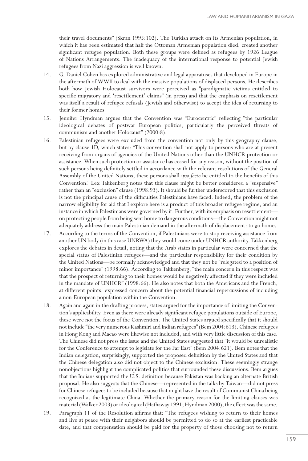their travel documents" (Skran 1995:102). The Turkish attack on its Armenian population, in which it has been estimated that half the Ottoman Armenian population died, created another significant refugee population. Both these groups were defined as refugees by 1926 League of Nations Arrangements. The inadequacy of the international response to potential Jewish refugees from Nazi aggression is well known.

- 14. G. Daniel Cohen has explored administrative and legal apparatuses that developed in Europe in the aftermath of WWII to deal with the massive populations of displaced persons. He describes both how Jewish Holocaust survivors were perceived as "paradigmatic victims entitled to specific migratory and 'resettlement' claims" (in press) and that the emphasis on resettlement was itself a result of refugee refusals (Jewish and otherwise) to accept the idea of returning to their former homes.
- 15. Jennifer Hyndman argues that the Convention was "Eurocentric" reflecting "the particular ideological debates of postwar European politics, particularly the perceived threats of communism and another Holocaust" (2000:8).
- 16. Palestinian refugees were excluded from the convention not only by this geography clause, but by clause 1D, which states: "This convention shall not apply to persons who are at present receiving from organs of agencies of the United Nations other than the UNHCR protection or assistance. When such protection or assistance has ceased for any reason, without the position of such persons being definitely settled in accordance with the relevant resolutions of the General Assembly of the United Nations, these persons shall *ipso facto* be entitled to the benefits of this Convention." Lex Takkenberg notes that this clause might be better considered a "suspensive" rather than an "exclusion" clause (1998:93). It should be further underscored that this exclusion is not the principal cause of the difficulties Palestinians have faced. Indeed, the problem of the narrow eligibility for aid that I explore here is a product of this broader refugee regime, and an instance in which Palestinians were governed by it. Further, with its emphasis on resettlement on protecting people from being sent home to dangerous conditions—the Convention might not adequately address the main Palestinian demand in the aftermath of displacement: to go home.
- 17. According to the terms of the Convention, if Palestinians were to stop receiving assistance from another UN body (in this case UNRWA) they would come under UNHCR authority. Takkenberg explores the debates in detail, noting that the Arab states in particular were concerned that the special status of Palestinian refugees—and the particular responsibility for their condition by the United Nations—be formally acknowledged and that they not be "relegated to a position of minor importance" (1998:66). According to Takkenberg, "the main concern in this respect was that the prospect of returning to their homes would be negatively affected if they were included in the mandate of UNHCR" (1998:66). He also notes that both the Americans and the French, at different points, expressed concern about the potential financial repercussions of including a non-European population within the Convention.
- 18. Again and again in the drafting process, states argued for the importance of limiting the Convention's applicability. Even as there were already significant refugee populations outside of Europe, these were not the focus of the Convention. The United States argued specifically that it should not include "the very numerous Kashmiri and Indian refugees" (Bem 2004:613). Chinese refugees in Hong Kong and Macao were likewise not included, and with very little discussion of this case. The Chinese did not press the issue and the United States suggested that "it would be unrealistic for the Conference to attempt to legislate for the Far East" (Bem 2004:621). Bem notes that the Indian delegation, surprisingly, supported the proposed definition by the United States and that the Chinese delegation also did not object to the Chinese exclusion. These seemingly strange nonobjections highlight the complicated politics that surrounded these discussions. Bem argues that the Indians supported the U.S. definition because Pakistan was backing an alternate British proposal. He also suggests that the Chinese—represented in the talks by Taiwan—did not press for Chinese refugees to be included because that might have the result of Communist China being recognized as the legitimate China. Whether the primary reason for the limiting clauses was material (Walker 2003) or ideological (Hathaway 1991; Hyndman 2000), the effect was the same.
- 19. Paragraph 11 of the Resolution affirms that: "The refugees wishing to return to their homes and live at peace with their neighbors should be permitted to do so at the earliest practicable date, and that compensation should be paid for the property of those choosing not to return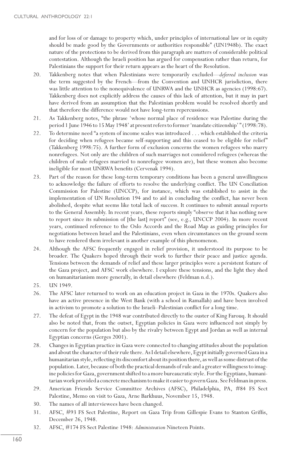and for loss of or damage to property which, under principles of international law or in equity should be made good by the Governments or authorities responsible" (UN1948b). The exact nature of the protections to be derived from this paragraph are matters of considerable political contestation. Although the Israeli position has argued for compensation rather than return, for Palestinians the support for their return appears as the heart of the Resolution.

- 20. Takkenberg notes that when Palestinians were temporarily excluded—*deferred inclusion* was the term suggested by the French—from the Convention and UNHCR jurisdiction, there was little attention to the nonequivalence of UNRWA and the UNHCR as agencies (1998:67). Takkenberg does not explicitly address the causes of this lack of attention, but it may in part have derived from an assumption that the Palestinian problem would be resolved shortly and that therefore the difference would not have long-term repercussions.
- 21. As Takkenberg notes, "the phrase 'whose normal place of residence was Palestine during the period 1 June 1946 to 15 May 1948' at present refers to former 'mandate citizenship' " (1998:78).
- 22. To determine need "a system of income scales was introduced . . . which established the criteria for deciding when refugees became self-supporting and this ceased to be eligible for relief" (Takkenberg 1998:75). A further form of exclusion concerns the women refugees who marry nonrefugees. Not only are the children of such marriages not considered refugees (whereas the children of male refugees married to nonrefugee women are), but these women also become ineligible for most UNRWA benefits (Cervenak 1994).
- 23. Part of the reason for these long-term temporary conditions has been a general unwillingness to acknowledge the failure of efforts to resolve the underlying conflict. The UN Conciliation Commission for Palestine (UNCCP), for instance, which was established to assist in the implementation of UN Resolution 194 and to aid in concluding the conflict, has never been abolished, despite what seems like total lack of success. It continues to submit annual reports to the General Assembly. In recent years, these reports simply "observe that it has nothing new to report since its submission of [the last] report" (see, e.g., UNCCP 2004). In more recent years, continued reference to the Oslo Accords and the Road Map as guiding principles for negotiations between Israel and the Palestinians, even when circumstances on the ground seem to have rendered them irrelevant is another example of this phenomenon.
- 24. Although the AFSC frequently engaged in relief provision, it understood its purpose to be broader. The Quakers hoped through their work to further their peace and justice agenda. Tensions between the demands of relief and these larger principles were a persistent feature of the Gaza project, and AFSC work elsewhere. I explore these tensions, and the light they shed on humanitarianism more generally, in detail elsewhere (Feldman n.d.).
- 25. UN 1949.
- 26. The AFSC later returned to work on an education project in Gaza in the 1970s. Quakers also have an active presence in the West Bank (with a school in Ramallah) and have been involved in activism to promote a solution to the Israeli–Palestinian conflict for a long time.
- 27. The defeat of Egypt in the 1948 war contributed directly to the ouster of King Farouq. It should also be noted that, from the outset, Egyptian policies in Gaza were influenced not simply by concern for the population but also by the rivalry between Egypt and Jordan as well as internal Egyptian concerns (Gerges 2001).
- 28. Changes in Egyptian practice in Gaza were connected to changing attitudes about the population and about the character of their rule there. As I detail elsewhere, Egypt initially governed Gaza in a humanitarian style, reflecting its discomfort about its position there, as well as some distrust of the population. Later, because of both the practical demands of rule and a greater willingness to imagine policies for Gaza, government shifted to a more bureaucratic style. For the Egyptians, humanitarian work provided a concrete mechanism to make it easier to govern Gaza. See Feldman in press.
- 29. American Friends Service Committee Archives (AFSC), Philadelphia, PA, #84 FS Sect Palestine, Memo on visit to Gaza, Arne Barkhuus, November 15, 1948.
- 30. The names of all interviewees have been changed.
- 31. AFSC, #93 FS Sect Palestine, Report on Gaza Trip from Gillespie Evans to Stanton Griffis, December 26, 1948.
- 32. AFSC, #174 FS Sect Palestine 1948: *Administration* Nineteen Points.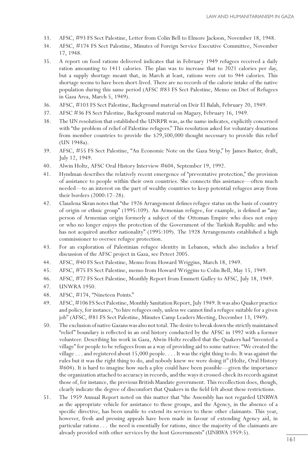- 33. AFSC, #93 FS Sect Palestine, Letter from Colin Bell to Elmore Jackson, November 18, 1948.
- 34. AFSC, #174 FS Sect Palestine, Minutes of Foreign Service Executive Committee, November 17, 1948.
- 35. A report on food rations delivered indicates that in February 1949 refugees received a daily ration amounting to 1411 calories. The plan was to increase that to 2021 calories per day, but a supply shortage meant that, in March at least, rations were cut to 944 calories. This shortage seems to have been short-lived. There are no records of the calorie intake of the native population during this same period (AFSC #83 FS Sect Palestine, Memo on Diet of Refugees in Gaza Area, March 5, 1949).
- 36. AFSC, #103 FS Sect Palestine, Background material on Deir El Balah, February 20, 1949.
- 37. AFSC #36 FS Sect Palestine, Background material on Magazy, February 16, 1949.
- 38. The UN resolution that established the UNRPR was, as the name indicates, explicitly concerned with "the problem of relief of Palestine refugees." This resolution asked for voluntary donations from member countries to provide the \$29,500,000 thought necessary to provide this relief (UN 1948a).
- 39. AFSC, #55 FS Sect Palestine, "An Economic Note on the Gaza Strip," by James Baster, draft, July 12, 1949.
- 40. Alwin Holtz, AFSC Oral History Interview #604, September 19, 1992.
- 41. Hyndman describes the relatively recent emergence of "preventative protection," the provision of assistance to people within their own countries. She connects this assistance—often much needed—to an interest on the part of wealthy countries to keep potential refugees away from their borders (2000:17–28).
- 42. Claudena Skran notes that "the 1926 Arrangement defines refugee status on the basis of country of origin or ethnic group" (1995:109). An Armenian refugee, for example, is defined as "any person of Armenian origin formerly a subject of the Ottoman Empire who does not enjoy or who no longer enjoys the protection of the Government of the Turkish Republic and who has not acquired another nationality" (1995:109). The 1928 Arrangements established a high commissioner to oversee refugee protection.
- 43. For an exploration of Palestinian refugee identity in Lebanon, which also includes a brief discussion of the AFSC project in Gaza, see Peteet 2005.
- 44. AFSC, #40 FS Sect Palestine, Memo from Howard Wriggins, March 18, 1949.
- 45. AFSC, #75 FS Sect Palestine, memo from Howard Wriggins to Colin Bell, May 15, 1949.
- 46. AFSC, #72 FS Sect Palestine, Monthly Report from Emmett Gulley to AFSC, July 18, 1949.
- 47. UNWRA 1950.
- 48. AFSC, #174, "Nineteen Points."
- 49. AFSC, #106 FS Sect Palestine, Monthly Sanitation Report, July 1949. It was also Quaker practice and policy, for instance, "to hire refugees only, unless we cannot find a refugee suitable for a given job" (AFSC, #81 FS Sect Palestine, Minutes Camp Leaders Meeting, December 13, 1949).
- 50. The exclusion of native Gazans was also not total. The desire to break down the strictly maintained "relief" boundary is reflected in an oral history conducted by the AFSC in 1992 with a former volunteer. Describing his work in Gaza, Alwin Holtz recalled that the Quakers had "invented a village" for people to be refugees from as a way of providing aid to some natives: "We created the village . . . and registered about 15,000 people. . . . It was the right thing to do. It was against the rules but it was the right thing to do, and nobody knew we were doing it" (Holtz, Oral History #604). It is hard to imagine how such a ploy could have been possible—given the importance the organization attached to accuracy in records, and the ways it crossed-check its records against those of, for instance, the previous British Mandate government. This recollection does, though, clearly indicate the degree of discomfort that Quakers in the field felt about these restrictions.
- 51. The 1959 Annual Report noted on this matter that "the Assembly has not regarded UNRWA as the appropriate vehicle for assistance to these groups, and the Agency, in the absence of a specific directive, has been unable to extend its services to these other claimants. This year, however, fresh and pressing appeals have been made in favour of extending Agency aid, in particular rations . . . the need is essentially for rations, since the majority of the claimants are already provided with other services by the host Governments" (UNRWA 1959:5).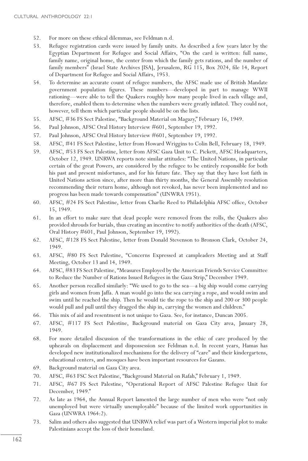- 52. For more on these ethical dilemmas, see Feldman n.d.
- 53. Refugee registration cards were issued by family units. As described a few years later by the Egyptian Department for Refugee and Social Affairs, "On the card is written: full name, family name, original home, the center from which the family gets rations, and the number of family members" (Israel State Archives [ISA], Jerusalem, RG 115, Box 2024, file 14, Report of Department for Refugee and Social Affairs, 1953.
- 54. To determine an accurate count of refugee numbers, the AFSC made use of British Mandate government population figures. These numbers—developed in part to manage WWII rationing—were able to tell the Quakers roughly how many people lived in each village and, therefore, enabled them to determine when the numbers were greatly inflated. They could not, however, tell them which particular people should be on the lists.
- 55. AFSC, #36 FS Sect Palestine, "Background Material on Magazy," February 16, 1949.
- 56. Paul Johnson, AFSC Oral History Interview #601, September 19, 1992.
- 57. Paul Johnson, AFSC Oral History Interview #601, September 19, 1992.
- 58. AFSC, #41 FS Sect Palestine, letter from Howard Wriggins to Colin Bell, February 18, 1949.
- 59. AFSC, #53 FS Sect Palestine, letter from AFSC Gaza Unit to C. Pickett, AFSC Headquarters, October 12, 1949. UNRWA reports note similar attitudes: "The United Nations, in particular certain of the great Powers, are considered by the refugee to be entirely responsible for both his past and present misfortunes, and for his future fate. They say that they have lost faith in United Nations action since, after more than thirty months, the General Assembly resolution recommending their return home, although not revoked, has never been implemented and no progress has been made towards compensation" (UNWRA 1951).
- 60. AFSC, #24 FS Sect Palestine, letter from Charlie Reed to Philadelphia AFSC office, October 15, 1949.
- 61. In an effort to make sure that dead people were removed from the rolls, the Quakers also provided shrouds for burials, thus creating an incentive to notify authorities of the death (AFSC, Oral History #601, Paul Johnson, September 19, 1992).
- 62. AFSC, #128 FS Sect Palestine, letter from Donald Stevenson to Bronson Clark, October 24, 1949.
- 63. AFSC, #80 FS Sect Palestine, "Concerns Expressed at campleaders Meeting and at Staff Meeting, October 13 and 14, 1949.
- 64. AFSC, #83 FS Sect Palestine, "Measures Employed by the American Friends Service Committee to Reduce the Number of Rations Issued Refugees in the Gaza Strip," December 1949.
- 65. Another person recalled similarly: "We used to go to the sea—a big ship would come carrying girls and women from Jaffa. A man would go into the sea carrying a rope, and would swim and swim until he reached the ship. Then he would tie the rope to the ship and 200 or 300 people would pull and pull until they dragged the ship in, carrying the women and children."
- 66. This mix of aid and resentment is not unique to Gaza. See, for instance, Duncan 2005.
- 67. AFSC, #117 FS Sect Palestine, Background material on Gaza City area, January 28, 1949.
- 68. For more detailed discussion of the transformations in the ethic of care produced by the upheavals on displacement and dispossession see Feldman n.d. In recent years, Hamas has developed new institutionalized mechanisms for the delivery of "care" and their kindergartens, educational centers, and mosques have been important resources for Gazans.
- 69. Background material on Gaza City area.
- 70. AFSC, #63 FSC Sect Palestine, "Background Material on Rafah," February 1, 1949.
- 71. AFSC, #67 FS Sect Palestine, "Operational Report of AFSC Palestine Refugee Unit for December, 1949."
- 72. As late as 1964, the Annual Report lamented the large number of men who were "not only unemployed but were virtually unemployable" because of the limited work opportunities in Gaza (UNWRA 1964:2).
- 73. Salim and others also suggested that UNRWA relief was part of a Western imperial plot to make Palestinians accept the loss of their homeland.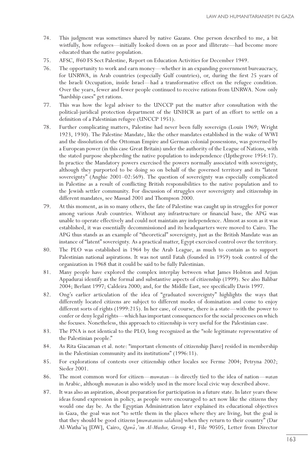- 74. This judgment was sometimes shared by native Gazans. One person described to me, a bit wistfully, how refugees—initially looked down on as poor and illiterate—had become more educated than the native population.
- 75. AFSC, #60 FS Sect Palestine, Report on Education Activities for December 1949.
- 76. The opportunity to work and earn money—whether in an expanding government bureaucracy, for UNRWA, in Arab countries (especially Gulf countries), or, during the first 25 years of the Israeli Occupation, inside Israel—had a transformative effect on the refugee condition. Over the years, fewer and fewer people continued to receive rations from UNRWA. Now only "hardship cases" get rations.
- 77. This was how the legal adviser to the UNCCP put the matter after consultation with the political-juridical protection department of the UNHCR as part of an effort to settle on a definition of a Palestinian refugee (UNCCP 1951).
- 78. Further complicating matters, Palestine had never been fully sovereign (Louis 1969; Wright 1923, 1930). The Palestine Mandate, like the other mandates established in the wake of WWI and the dissolution of the Ottoman Empire and German colonial possessions, was governed by a European power (in this case Great Britain) under the authority of the League of Nations, with the stated purpose shepherding the native population to independence (Upthegrove 1954:17). In practice the Mandatory powers exercised the powers normally associated with sovereignty, although they purported to be doing so on behalf of the governed territory and its "latent sovereignty" (Anghie 2001–02:569). The question of sovereignty was especially complicated in Palestine as a result of conflicting British responsibilities to the native population and to the Jewish settler community. For discussion of struggles over sovereignty and citizenship in different mandates, see Massad 2001 and Thompson 2000.
- 79. At this moment, as in so many others, the fate of Palestine was caught up in struggles for power among various Arab countries. Without any infrastructure or financial base, the APG was unable to operate effectively and could not maintain any independence. Almost as soon as it was established, it was essentially decommissioned and its headquarters were moved to Cairo. The APG thus stands as an example of "theoretical" sovereignty, just as the British Mandate was an instance of "latent" sovereignty. As a practical matter, Egypt exercised control over the territory.
- 80. The PLO was established in 1964 by the Arab League, as much to contain as to support Palestinian national aspirations. It was not until Fatah (founded in 1959) took control of the organization in 1968 that it could be said to be fully Palestinian.
- 81. Many people have explored the complex interplay between what James Holston and Arjun Appadurai identify as the formal and substantive aspects of citizenship (1999). See also Balibar 2004; Berlant 1997; Caldeira 2000; and, for the Middle East, see specifically Davis 1997.
- 82. Ong's earlier articulation of the idea of "graduated sovereignty" highlights the ways that differently located citizens are subject to different modes of domination and come to enjoy different sorts of rights (1999:215). In her case, of course, there is a state—with the power to confer or deny legal rights—which has important consequences for the social processes on which she focuses. Nonetheless, this approach to citizenship is very useful for the Palestinian case.
- 83. The PNA is not identical to the PLO, long recognized as the "sole legitimate representative of the Palestinian people."
- 84. As Rita Giacaman et al. note: "important elements of citizenship [have] resided in membership in the Palestinian community and its institutions" (1996:11).
- 85. For explorations of contests over citizenship other locales see Ferme 2004; Petryna 2002; Sieder 2001.
- 86. The most common word for citizen—*muwatan—*is directly tied to the idea of nation—*watan* in Arabic, although *muwatan* is also widely used in the more local civic way described above.
- 87. It was also an aspiration, about preparation for participation in a future state. In later years these ideas found expression in policy, as people were encouraged to act now like the citizens they would one day be. As the Egyptian Administration later explained its educational objectives in Gaza, the goal was not "to settle them in the places where they are living, but the goal is that they should be good citizens [*muwataniin salahiin*] when they return to their country" (Dar Al-Watha'iq [DW], Cairo, *Qawa*,'im Al-Mushir, Group 41, File 90505, Letter from Director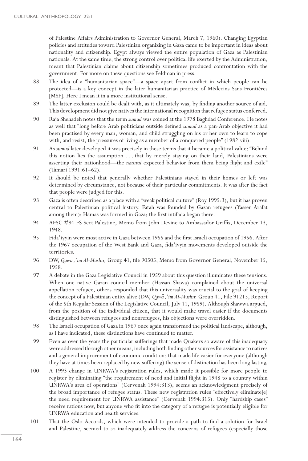of Palestine Affairs Administration to Governor General, March 7, 1960). Changing Egyptian policies and attitudes toward Palestinian organizing in Gaza came to be important in ideas about nationality and citizenship. Egypt always viewed the entire population of Gaza as Palestinian nationals. At the same time, the strong control over political life exerted by the Administration, meant that Palestinian claims about citizenship sometimes produced confrontation with the government. For more on these questions see Feldman in press.

- 88. The idea of a "humanitarian space"—a space apart from conflict in which people can be protected—is a key concept in the later humanitarian practice of Médecins Sans Frontiéres [MSF]. Here I mean it in a more institutional sense.
- 89. The latter exclusion could be dealt with, as it ultimately was, by finding another source of aid. This development did not give natives the international recognition that refugee status conferred.
- 90. Raja Shehadeh notes that the term *sumud* was coined at the 1978 Baghdad Conference. He notes as well that "long before Arab politicians outside defined *sumud* as a pan-Arab objective it had been practised by every man, woman, and child struggling on his or her own to learn to cope with, and resist, the pressures of living as a member of a conquered people" (1982:viii).
- 91. As *sumud* later developed it was precisely in these terms that it became a political value: "Behind this notion lies the assumption . . . that by merely staying on their land, Palestinians were asserting their nationhood—the *natural* expected behavior from them being flight and exile" (Tamari 1991:61–62).
- 92. It should be noted that generally whether Palestinians stayed in their homes or left was determined by circumstance, not because of their particular commitments. It was after the fact that people were judged for this.
- 93. Gaza is often described as a place with a "weak political culture" (Roy 1995:3), but it has proven central to Palestinian political history. Fatah was founded by Gazan refugees (Yasser Arafat among them); Hamas was formed in Gaza; the first intifada began there.
- 94. AFSC #84 FS Sect Palestine, Memo from John Devine to Ambassador Griffis, December 13, 1948.
- 95. Fida'iyyin were most active in Gaza between 1955 and the first Israeli occupation of 1956. After the 1967 occupation of the West Bank and Gaza, fida'iyyin movements developed outside the territories.
- 96. DW, Qawa, 'im Al-Mushir, Group 41, file 90505, Memo from Governor General, November 15, 1958.
- 97. A debate in the Gaza Legislative Council in 1959 about this question illuminates these tensions. When one native Gazan council member (Hassan Shawa) complained about the universal appellation refugee, others responded that this universality was crucial to the goal of keeping the concept of a Palestinian entity alive (DW, *Qawa*, 'im Al-Mushir, Group 41, File 91215, Report of the 5th Regular Session of the Legislative Council, July 11, 1959). Although Shawwa argued, from the position of the individual citizen, that it would make travel easier if the documents distinguished between refugees and nonrefugees, his objections were overridden.
- 98. The Israeli occupation of Gaza in 1967 once again transformed the political landscape, although, as I have indicated, these distinctions have continued to matter.
- 99. Even as over the years the particular sufferings that made Quakers so aware of this inadequacy were addressed through other means, including both finding other sources for assistance to natives and a general improvement of economic conditions that made life easier for everyone (although they have at times been replaced by new suffering) the sense of distinction has been long lasting.
- 100. A 1993 change in UNRWA's registration rules, which made it possible for more people to register by eliminating "the requirement of need and initial flight in 1948 to a country within UNRWA's area of operations" (Cervenak 1994:313), seems an acknowledgment precisely of the broad importance of refugee status. These new registration rules "effectively eliminate[e] the need requirement for UNRWA assistance" (Cervenak 1994:315). Only "hardship cases" receive rations now, but anyone who fit into the category of a refugee is potentially eligible for UNRWA education and health services.
- 101. That the Oslo Accords, which were intended to provide a path to find a solution for Israel and Palestine, seemed to so inadequately address the concerns of refugees (especially those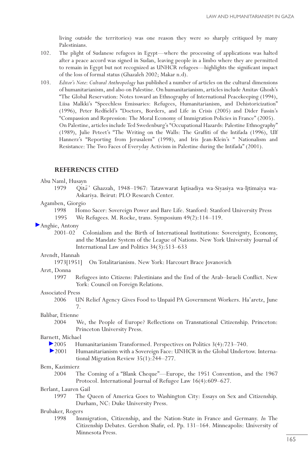living outside the territories) was one reason they were so sharply critiqued by many Palestinians.

- 102. The plight of Sudanese refugees in Egypt—where the processing of applications was halted after a peace accord was signed in Sudan, leaving people in a limbo where they are permitted to remain in Egypt but not recognized as UNHCR refugees—highlights the significant impact of the loss of formal status (Ghazaleh 2002; Makar n.d).
- 103. *Editor's Note*: *Cultural Anthropology* has published a number of articles on the cultural dimensions of humanitarianism, and also on Palestine. On humanitarianism, articles include Amitav Ghosh's "The Global Reservation: Notes toward an Ethnography of International Peacekeeping (1994), Liisa Malkki's "Speechless Emissaries: Refugees, Humanitarianism, and Dehistoricization" (1996), Peter Redfield's "Doctors, Borders, and Life in Crisis (2005) and Dider Fassin's "Compassion and Repression: The Moral Economy of Immigration Policies in France" (2005). On Palestine, articles include Ted Swedenburg's "Occupational Hazards: Palestine Ethnography" (1989), Julie Peteet's "The Writing on the Walls: The Graffiti of the Intifada (1996), Ulf Hannerz's "Reporting from Jerusalem" (1998), and Iris Jean-Klein's " Nationalism and Resistance: The Two Faces of Everyday Activism in Palestine during the Intifada" (2001).

## **REFERENCES CITED**

# Abu Naml, Husayn

1979 Qit*a*¯' Ghazzah, 1948–1967: Tatawwarat Iqtisadiya wa-Siyasiya wa-Ijtimaiya wa-Askariya. Beirut: PLO Research Center.

# Agamben, Giorgio

1998 Homo Sacer: Sovereign Power and Bare Life. Stanford: Stanford University Press<br>1995 We Refugees. M. Rocke, trans. Symposium 49(2):114–119.

We Refugees. M. Rocke, trans. Symposium 49(2):114–119.

#### Anghie, Antony

2001–02 Colonialism and the Birth of International Institutions: Sovereignty, Economy, and the Mandate System of the League of Nations. New York University Journal of International Law and Politics 34(3):513–633

#### Arendt, Hannah

1973[1951] On Totalitarianism. New York: Harcourt Brace Jovanovich

#### Arzt, Donna

1997 Refugees into Citizens: Palestinians and the End of the Arab–Israeli Conflict. New York: Council on Foreign Relations.

#### Associated Press

2006 UN Relief Agency Gives Food to Unpaid PA Government Workers. Ha'aretz, June 7.

### Balibar, Etienne

2004 We, the People of Europe? Reflections on Transnational Citizenship. Princeton: Princeton University Press.

### Barnett, Michael

- ▶ 2005 Humanitarianism Transformed. Perspectives on Politics 3(4):723–740.<br>▶ 2001 Humanitarianism with a Sovereign Face: UNHCR in the Global Undert
	- Humanitarianism with a Sovereign Face: UNHCR in the Global Undertow. International Migration Review 35(1):244–277.

#### Bem, Kazimierz

2004 The Coming of a "Blank Cheque"—Europe, the 1951 Convention, and the 1967 Protocol. International Journal of Refugee Law 16(4):609–627.

#### Berlant, Lauren Gail

1997 The Queen of America Goes to Washington City: Essays on Sex and Citizenship. Durham, NC: Duke University Press.

#### Brubaker, Rogers

1998 Immigration, Citizenship, and the Nation-State in France and Germany. *In* The Citizenship Debates. Gershon Shafir, ed. Pp. 131–164. Minneapolis: University of Minnesota Press.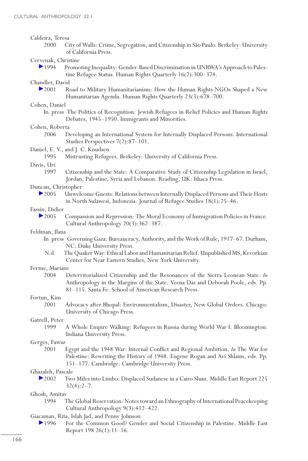# Caldeira, Teresa

City of Walls: Crime, Segregation, and Citizenship in São Paulo. Berkeley: University of California Press.

#### Cervenak, Christine

1994 Promoting Inequality: Gender-Based Discrimination in UNRWA's Approach to Palestine Refugee Status. Human Rights Quarterly 16(2):300–374.

# Chandler, David

Road to Military Humanitarianism: How the Human Rights NGOs Shaped a New Humanitarian Agenda. Human Rights Quarterly 23(3):678–700.

#### Cohen, Daniel

In press The Politics of Recognition: Jewish Refugees in Relief Policies and Human Rights Debates, 1945–1950. Immigrants and Minorities.

# Cohen, Roberta<br>2006 D

Developing an International System for Internally Displaced Persons. International Studies Perspectives 7(2):87–101.

# Daniel, E. V., and J. C. Knudsen

Mistrusting Refugees. Berkeley: University of California Press.

# Davis, Uri

1997 Citizenship and the State: A Comparative Study of Citizenship Legislation in Israel, Jordan, Palestine, Syria and Lebanon. Reading, UK: Ithaca Press.

# Duncan, Christopher<br>2005 Unwelc

Unwelcome Guests: Relations between Internally Displaced Persons and Their Hosts in North Sulawesi, Indonesia. Journal of Refugee Studies 18(1):25–46.

# Fassin, Didier

Compassion and Repression: The Moral Economy of Immigration Policies in France. Cultural Anthropology 20(3):362–387.

#### Feldman, Ilana

- In press Governing Gaza: Bureaucracy, Authority, and the Work of Rule, 1917–67. Durham, NC: Duke University Press.
- N.d. The Quaker Way: Ethical Labor and Humanitarian Relief. Unpublished MS, Kevorkian Center for Near Eastern Studies, New York University.

#### Ferme, Mariane

2004 Deterritorialized Citizenship and the Resonances of the Sierra Leonean State. *In* Anthropology in the Margins of the State. Veena Das and Deborah Poole, eds. Pp. 81–115. Santa Fe: School of American Research Press.

### Fortun, Kim

2001 Advocacy after Bhopal: Environmentalism, Disaster, New Global Orders. Chicago: University of Chicago Press.

#### Gatrell, Peter

1999 A Whole Empire Walking: Refugees in Russia during World War I. Bloomington: Indiana University Press.

# Gerges, Fawaz

Egypt and the 1948 War: Internal Conflict and Regional Ambition. *In* The War for Palestine: Rewriting the History of 1948. Eugene Rogan and Avi Shlaim, eds. Pp. 151–177. Cambridge: Cambridge University Press.

# Ghazaleh, Pascale<br>2002 Two

Two Miles into Limbo: Displaced Sudanese in a Cairo Slum. Middle East Report 225  $32(4):2-7.$ 

#### Ghosh, Amitav

1994 The Global Reservation: Notes toward an Ethnography of International Peacekeeping Cultural Anthropology 9(3):412–422.

#### Giacaman, Rita, Islah Jad, and Penny Johnson

1996 For the Common Good? Gender and Social Citizenship in Palestine. Middle East Report 198 26(1):11–16.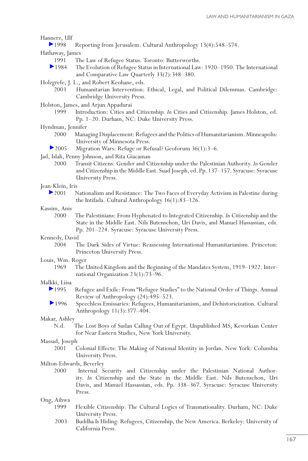| Hannerz, Ulf                                 |                                                                                                                                                                                                                                                   |  |
|----------------------------------------------|---------------------------------------------------------------------------------------------------------------------------------------------------------------------------------------------------------------------------------------------------|--|
| $\blacktriangleright$ 1998                   | Reporting from Jerusalem. Cultural Anthropology 13(4):548–574.                                                                                                                                                                                    |  |
| Hathaway, James                              |                                                                                                                                                                                                                                                   |  |
| 1991<br>$\blacktriangleright$ 1984           | The Law of Refugee Status. Toronto: Butterworths.<br>The Evolution of Refugee Status in International Law: 1920-1950. The International<br>and Comparative Law Quarterly 33(2):348–380.                                                           |  |
| 2003                                         | Holzgrefe, J. L., and Robert Keohane, eds.<br>Humanitarian Intervention: Ethical, Legal, and Political Dilemmas. Cambridge:<br>Cambridge University Press.                                                                                        |  |
| 1999                                         | Holston, James, and Arjun Appadurai<br>Introduction: Cities and Citizenship. In Cities and Citizenship. James Holston, ed.<br>Pp. 1-20. Durham, NC: Duke University Press.                                                                        |  |
| Hyndman, Jennifer<br>2000                    | Managing Displacement: Refugees and the Politics of Humanitarianism. Minneapolis:                                                                                                                                                                 |  |
| $\blacktriangleright$ 2005                   | University of Minnesota Press.<br>Migration Wars: Refuge or Refusal? Geoforum 36(1):3-6.                                                                                                                                                          |  |
| Jad, Islah, Penny Johnson, and Rita Giacaman |                                                                                                                                                                                                                                                   |  |
| 2000                                         | Transit Citizens: Gender and Citizenship under the Palestinian Authority. In Gender<br>and Citizenship in the Middle East. Suad Joseph, ed. Pp. 137–157. Syracuse: Syracuse<br>University Press.                                                  |  |
| Jean-Klein, Iris                             |                                                                                                                                                                                                                                                   |  |
| $\blacktriangleright$ 2001                   | Nationalism and Resistance: The Two Faces of Everyday Activism in Palestine during<br>the Intifada. Cultural Anthropology $16(1)$ :83-126.                                                                                                        |  |
| Kassim, Anis<br>2000                         | The Palestinians: From Hyphenated to Integrated Citizenship. In Citizenship and the<br>State in the Middle East. Nils Butenschon, Uri Davis, and Manuel Hassassian, eds.<br>Pp. 201–224. Syracuse: Syracuse University Press.                     |  |
| Kennedy, David                               |                                                                                                                                                                                                                                                   |  |
| 2004                                         | The Dark Sides of Virtue: Reassessing International Humanitarianism. Princeton:<br>Princeton University Press.                                                                                                                                    |  |
| Louis, Wm. Roger<br>1969                     | The United Kingdom and the Beginning of the Mandates System, 1919–1922. Inter-<br>national Organization $23(1)$ :73-96.                                                                                                                           |  |
| Malkki, Liisa                                |                                                                                                                                                                                                                                                   |  |
| $\blacktriangleright$ 1995                   | Refugee and Exile: From "Refugee Studies" to the National Order of Things. Annual<br>Review of Anthropology (24):495–523.                                                                                                                         |  |
| $\blacktriangleright$ 1996                   | Speechless Emissaries: Refugees, Humanitarianism, and Dehistoricization. Cultural<br>Anthropology 11(3):377-404.                                                                                                                                  |  |
| Makar, Ashley                                |                                                                                                                                                                                                                                                   |  |
| N.d.                                         | The Lost Boys of Sudan Calling Out of Egypt. Unpublished MS, Kevorkian Center<br>for Near Eastern Studies, New York University.                                                                                                                   |  |
| Massad, Joseph<br>2001                       | Colonial Effects: The Making of National Identity in Jordan. New York: Columbia<br>University Press.                                                                                                                                              |  |
| Milton-Edwards, Beverley                     |                                                                                                                                                                                                                                                   |  |
| 2000                                         | Internal Security and Citizenship under the Palestinian National Author-<br>ity. In Citizenship and the State in the Middle East. Nils Butenschon, Uri<br>Davis, and Manuel Hassassian, eds. Pp. 338–367. Syracuse: Syracuse University<br>Press. |  |
| Ong, Aihwa                                   |                                                                                                                                                                                                                                                   |  |
| 1999                                         | Flexible Citizenship: The Cultural Logics of Transnationality. Durham, NC: Duke                                                                                                                                                                   |  |

University Press.

2003 Buddha Is Hiding: Refugees, Citizenship, the New America. Berkeley: University of California Press.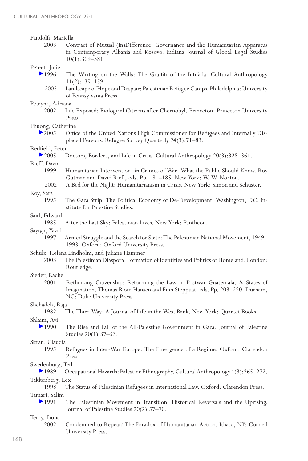| Pandolfi, Mariella<br>2003                                                                                                        | Contract of Mutual (In)Difference: Governance and the Humanitarian Apparatus<br>in Contemporary Albania and Kosovo. Indiana Journal of Global Legal Studies<br>$10(1):369-381.$            |  |
|-----------------------------------------------------------------------------------------------------------------------------------|--------------------------------------------------------------------------------------------------------------------------------------------------------------------------------------------|--|
| Peteet, Julie<br>$\blacktriangleright$ 1996                                                                                       | The Writing on the Walls: The Graffiti of the Intifada. Cultural Anthropology                                                                                                              |  |
| 2005                                                                                                                              | $11(2):139-159.$<br>Landscape of Hope and Despair: Palestinian Refugee Camps. Philadelphia: University<br>of Pennsylvania Press.                                                           |  |
| Petryna, Adriana<br>2002                                                                                                          | Life Exposed: Biological Citizens after Chernobyl. Princeton: Princeton University<br>Press.                                                                                               |  |
| Phuong, Catherine                                                                                                                 |                                                                                                                                                                                            |  |
| $\blacktriangleright$ 2005                                                                                                        | Office of the United Nations High Commissioner for Refugees and Internally Dis-<br>placed Persons. Refugee Survey Quarterly 24(3):71–83.                                                   |  |
| Redfield, Peter<br>$\blacktriangleright$ 2005<br>Doctors, Borders, and Life in Crisis. Cultural Anthropology 20(3):328–361.       |                                                                                                                                                                                            |  |
| Rieff, David                                                                                                                      |                                                                                                                                                                                            |  |
| 1999                                                                                                                              | Humanitarian Intervention. In Crimes of War: What the Public Should Know. Roy<br>Gutman and David Rieff, eds. Pp. 181-185. New York: W. W. Norton.                                         |  |
| 2002                                                                                                                              | A Bed for the Night: Humanitarianism in Crisis. New York: Simon and Schuster.                                                                                                              |  |
| Roy, Sara<br>1995                                                                                                                 | The Gaza Strip: The Political Economy of De-Development. Washington, DC: In-<br>stitute for Palestine Studies.                                                                             |  |
| Said, Edward<br>1985                                                                                                              | After the Last Sky: Palestinian Lives. New York: Pantheon.                                                                                                                                 |  |
| Sayigh, Yazid<br>1997                                                                                                             | Armed Struggle and the Search for State: The Palestinian National Movement, 1949–<br>1993. Oxford: Oxford University Press.                                                                |  |
| 2003                                                                                                                              | Schulz, Helena Lindholm, and Juliane Hammer<br>The Palestinian Diaspora: Formation of Identities and Politics of Homeland. London:<br>Routledge.                                           |  |
| Sieder, Rachel                                                                                                                    |                                                                                                                                                                                            |  |
| 2001                                                                                                                              | Rethinking Citizenship: Reforming the Law in Postwar Guatemala. In States of<br>Imagination. Thomas Blom Hansen and Finn Steppuat, eds. Pp. 203-220. Durham,<br>NC: Duke University Press. |  |
| Shehadeh, Raja                                                                                                                    |                                                                                                                                                                                            |  |
| 1982                                                                                                                              | The Third Way: A Journal of Life in the West Bank. New York: Quartet Books.                                                                                                                |  |
| Shlaim, Avi<br>$\blacktriangleright$ 1990                                                                                         | The Rise and Fall of the All-Palestine Government in Gaza. Journal of Palestine<br>Studies $20(1):37-53$ .                                                                                 |  |
| Skran, Claudia<br>1995                                                                                                            | Refugees in Inter-War Europe: The Emergence of a Regime. Oxford: Clarendon<br>Press.                                                                                                       |  |
| Swedenburg, Ted<br>$\blacktriangleright$ 1989<br>Occupational Hazards: Palestine Ethnography. Cultural Anthropology 4(3):265–272. |                                                                                                                                                                                            |  |
| Takkenberg, Lex<br>1998<br>The Status of Palestinian Refugees in International Law. Oxford: Clarendon Press.                      |                                                                                                                                                                                            |  |
| Tamari, Salim<br>$\blacktriangleright$ 1991                                                                                       | The Palestinian Movement in Transition: Historical Reversals and the Uprising.<br>Journal of Palestine Studies 20(2):57–70.                                                                |  |
| Terry, Fiona<br>2002                                                                                                              | Condemned to Repeat? The Paradox of Humanitarian Action. Ithaca, NY: Cornell<br>University Press.                                                                                          |  |